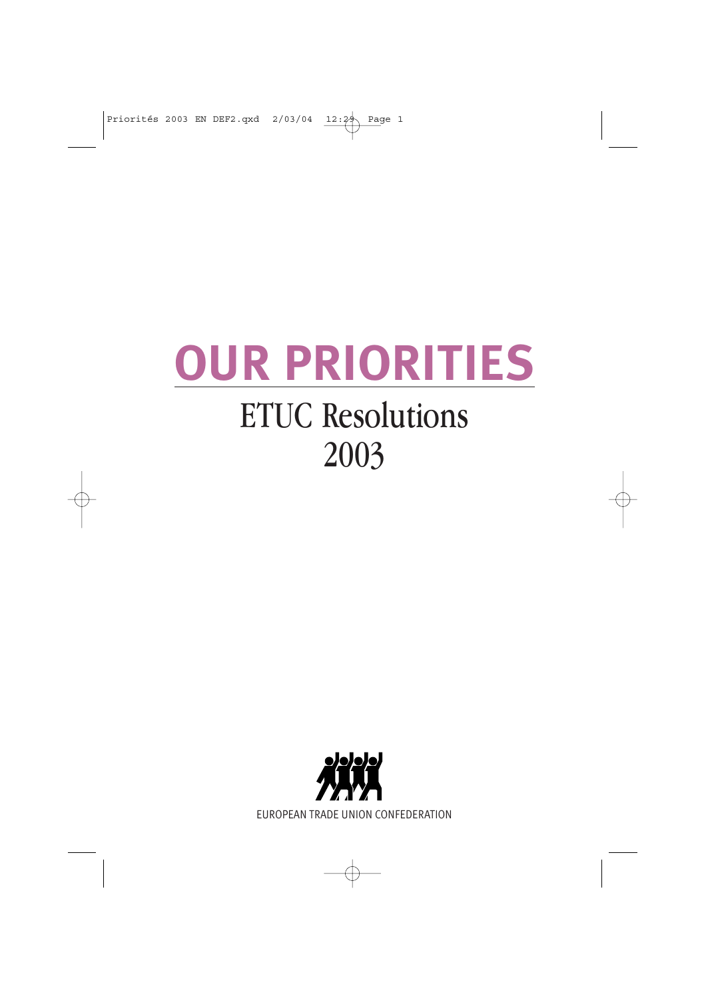## **OUR PRIORITIES** ETUC Resolutions 2003

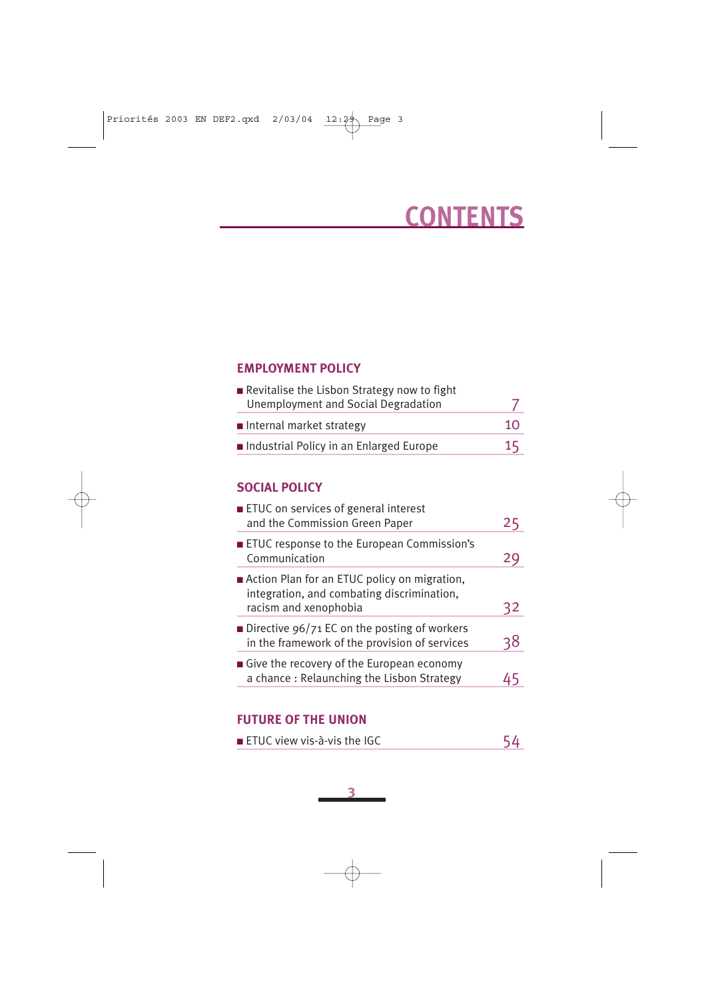## **CONTENTS**

### **EMPLOYMENT POLICY**

| Revitalise the Lisbon Strategy now to fight |    |
|---------------------------------------------|----|
| Unemployment and Social Degradation         |    |
| $\blacksquare$ Internal market strategy     | 10 |
| Industrial Policy in an Enlarged Europe     | 15 |

### **SOCIAL POLICY**

| ■ ETUC on services of general interest<br>and the Commission Green Paper                                            | 2 <sub>5</sub> |
|---------------------------------------------------------------------------------------------------------------------|----------------|
| <b>ETUC</b> response to the European Commission's<br>Communication                                                  |                |
| Action Plan for an ETUC policy on migration,<br>integration, and combating discrimination,<br>racism and xenophobia | 32             |
| <b>Directive 96/71 EC on the posting of workers</b><br>in the framework of the provision of services                | אג             |
| Give the recovery of the European economy<br>a chance: Relaunching the Lisbon Strategy                              |                |

### **FUTURE OF THE UNION**

| $\blacksquare$ ETUC view vis-à-vis the IGC |  |
|--------------------------------------------|--|
|--------------------------------------------|--|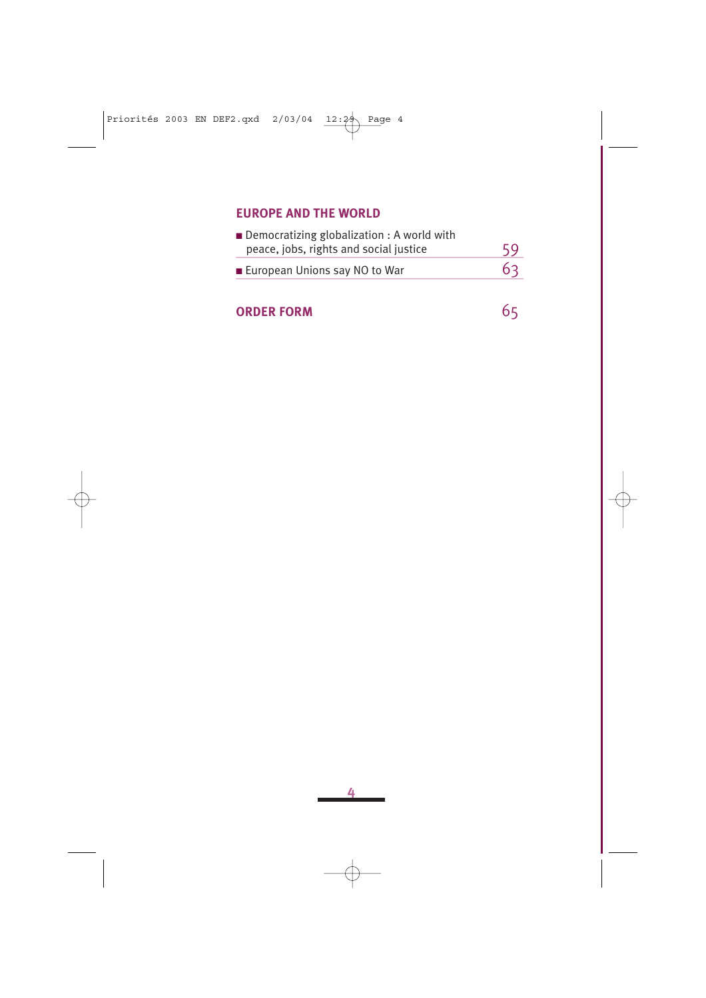### **EUROPE AND THE WORLD**

| $\blacksquare$ Democratizing globalization : A world with<br>peace, jobs, rights and social justice | 59 |
|-----------------------------------------------------------------------------------------------------|----|
| ■ European Unions say NO to War                                                                     | 63 |

### **ORDER FORM** 65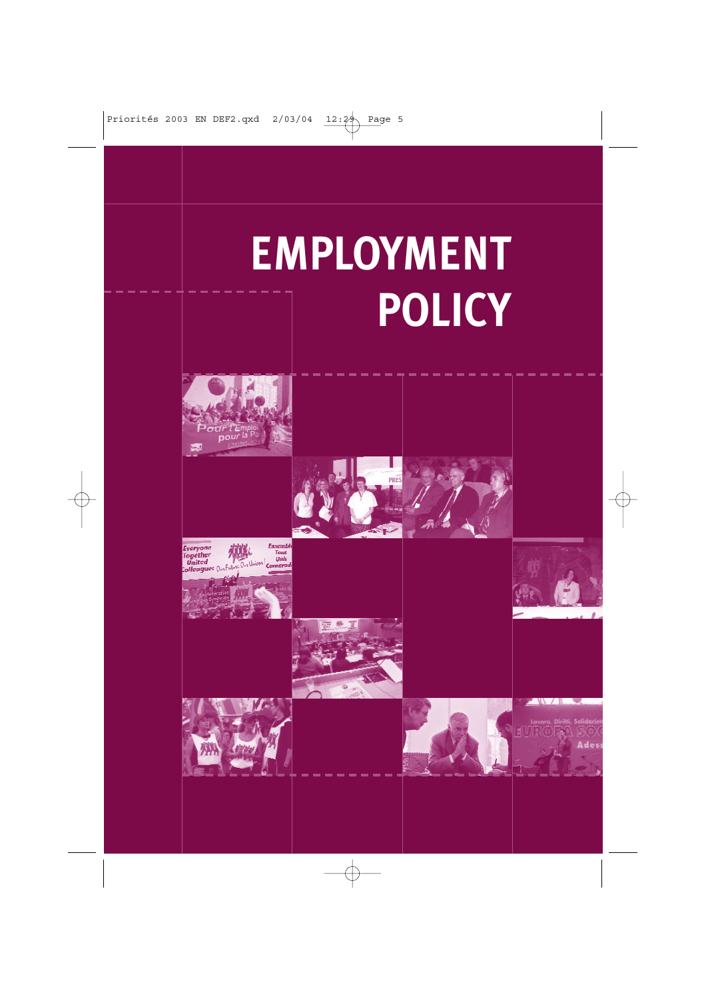# **EMPLOYMENT POLICY**

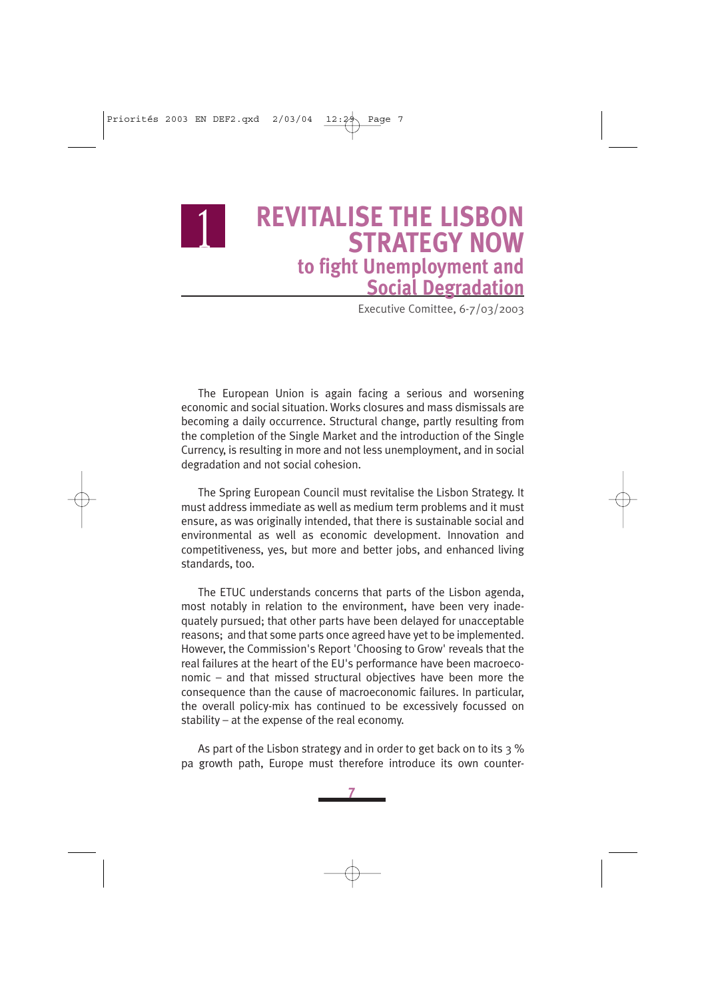

### <sup>1</sup> **REVITALISE THE LISBON STRATEGY NOW to fight Unemployment and Social Degradation**

Executive Comittee, 6-7/03/2003

The European Union is again facing a serious and worsening economic and social situation. Works closures and mass dismissals are becoming a daily occurrence. Structural change, partly resulting from the completion of the Single Market and the introduction of the Single Currency, is resulting in more and not less unemployment, and in social degradation and not social cohesion.

The Spring European Council must revitalise the Lisbon Strategy. It must address immediate as well as medium term problems and it must ensure, as was originally intended, that there is sustainable social and environmental as well as economic development. Innovation and competitiveness, yes, but more and better jobs, and enhanced living standards, too.

The ETUC understands concerns that parts of the Lisbon agenda, most notably in relation to the environment, have been very inadequately pursued; that other parts have been delayed for unacceptable reasons; and that some parts once agreed have yet to be implemented. However, the Commission's Report 'Choosing to Grow' reveals that the real failures at the heart of the EU's performance have been macroeconomic – and that missed structural objectives have been more the consequence than the cause of macroeconomic failures. In particular, the overall policy-mix has continued to be excessively focussed on stability – at the expense of the real economy.

As part of the Lisbon strategy and in order to get back on to its 3 % pa growth path, Europe must therefore introduce its own counter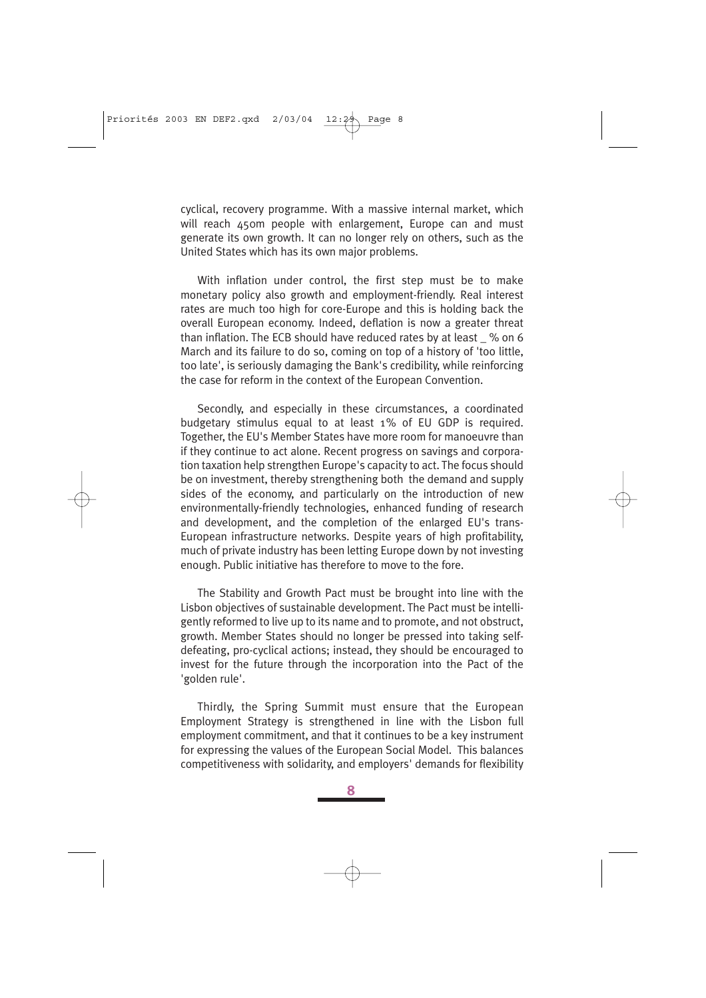cyclical, recovery programme. With a massive internal market, which will reach 450m people with enlargement. Furope can and must generate its own growth. It can no longer rely on others, such as the United States which has its own major problems.

With inflation under control, the first step must be to make monetary policy also growth and employment-friendly. Real interest rates are much too high for core-Europe and this is holding back the overall European economy. Indeed, deflation is now a greater threat than inflation. The ECB should have reduced rates by at least \_ % on 6 March and its failure to do so, coming on top of a history of 'too little, too late', is seriously damaging the Bank's credibility, while reinforcing the case for reform in the context of the European Convention.

Secondly, and especially in these circumstances, a coordinated budgetary stimulus equal to at least 1% of EU GDP is required. Together, the EU's Member States have more room for manoeuvre than if they continue to act alone. Recent progress on savings and corporation taxation help strengthen Europe's capacity to act. The focus should be on investment, thereby strengthening both the demand and supply sides of the economy, and particularly on the introduction of new environmentally-friendly technologies, enhanced funding of research and development, and the completion of the enlarged EU's trans-European infrastructure networks. Despite years of high profitability, much of private industry has been letting Europe down by not investing enough. Public initiative has therefore to move to the fore.

The Stability and Growth Pact must be brought into line with the Lisbon objectives of sustainable development. The Pact must be intelligently reformed to live up to its name and to promote, and not obstruct, growth. Member States should no longer be pressed into taking selfdefeating, pro-cyclical actions; instead, they should be encouraged to invest for the future through the incorporation into the Pact of the 'golden rule'.

Thirdly, the Spring Summit must ensure that the European Employment Strategy is strengthened in line with the Lisbon full employment commitment, and that it continues to be a key instrument for expressing the values of the European Social Model. This balances competitiveness with solidarity, and employers' demands for flexibility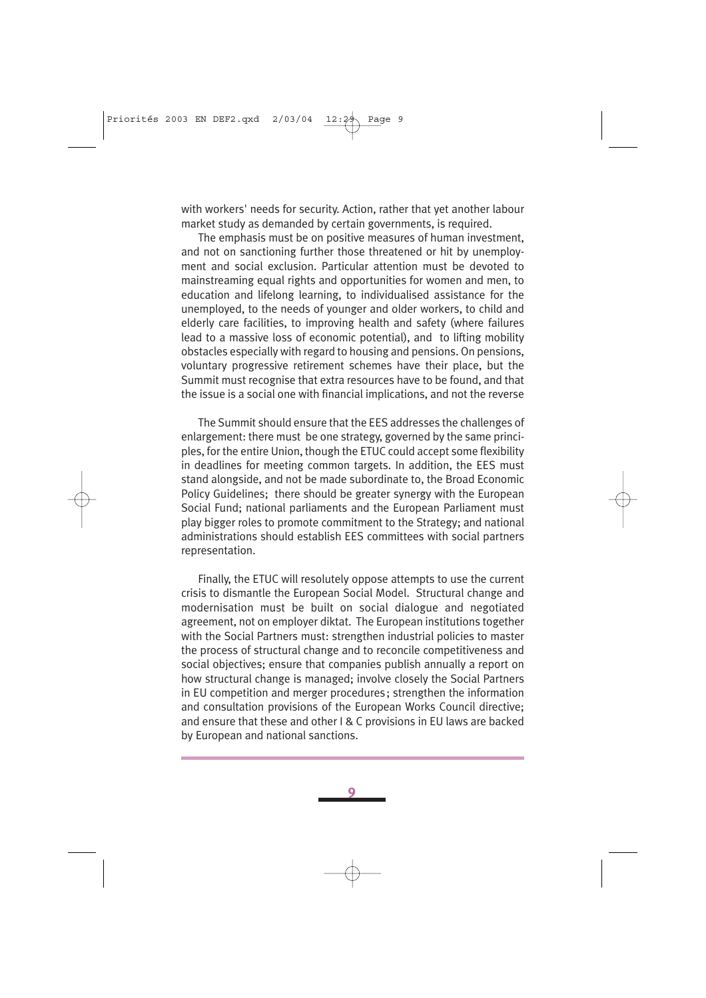with workers' needs for security. Action, rather that yet another labour market study as demanded by certain governments, is required.

The emphasis must be on positive measures of human investment, and not on sanctioning further those threatened or hit by unemployment and social exclusion. Particular attention must be devoted to mainstreaming equal rights and opportunities for women and men, to education and lifelong learning, to individualised assistance for the unemployed, to the needs of younger and older workers, to child and elderly care facilities, to improving health and safety (where failures lead to a massive loss of economic potential), and to lifting mobility obstacles especially with regard to housing and pensions. On pensions, voluntary progressive retirement schemes have their place, but the Summit must recognise that extra resources have to be found, and that the issue is a social one with financial implications, and not the reverse

The Summit should ensure that the EES addresses the challenges of enlargement: there must be one strategy, governed by the same principles, for the entire Union, though the ETUC could accept some flexibility in deadlines for meeting common targets. In addition, the EES must stand alongside, and not be made subordinate to, the Broad Economic Policy Guidelines; there should be greater synergy with the European Social Fund; national parliaments and the European Parliament must play bigger roles to promote commitment to the Strategy; and national administrations should establish EES committees with social partners representation.

Finally, the ETUC will resolutely oppose attempts to use the current crisis to dismantle the European Social Model. Structural change and modernisation must be built on social dialogue and negotiated agreement, not on employer diktat. The European institutions together with the Social Partners must: strengthen industrial policies to master the process of structural change and to reconcile competitiveness and social objectives; ensure that companies publish annually a report on how structural change is managed; involve closely the Social Partners in EU competition and merger procedures; strengthen the information and consultation provisions of the European Works Council directive; and ensure that these and other I & C provisions in EU laws are backed by European and national sanctions.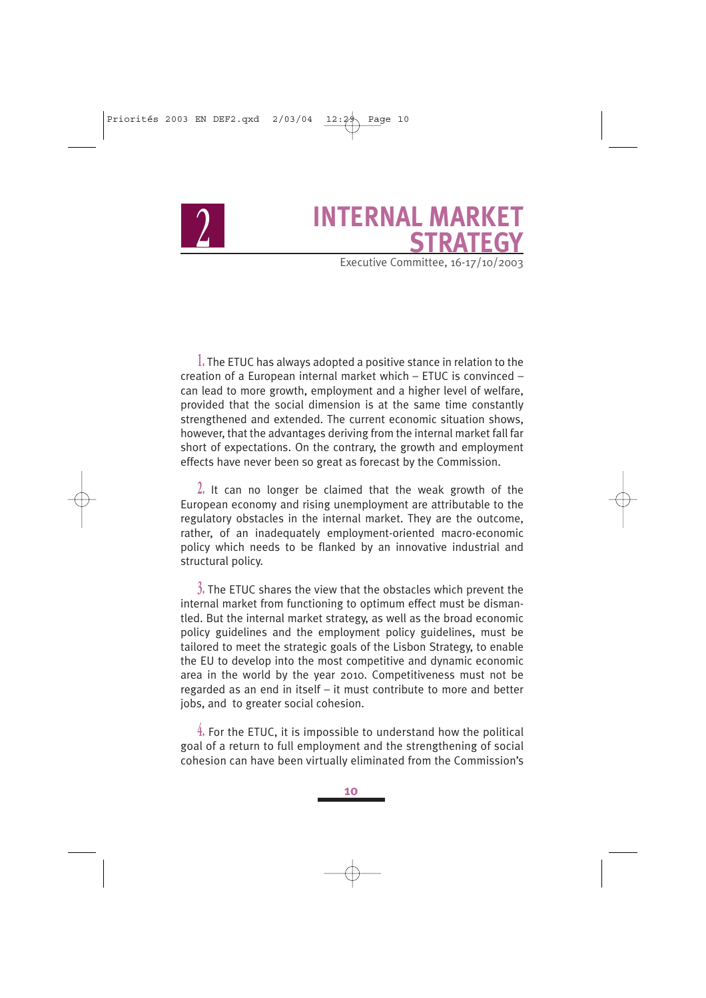### <sup>2</sup> **INTERNAL MARKET STRATEGY**

Executive Committee, 16-17/10/2003

**1.** The ETUC has always adopted a positive stance in relation to the creation of a European internal market which – ETUC is convinced – can lead to more growth, employment and a higher level of welfare, provided that the social dimension is at the same time constantly strengthened and extended. The current economic situation shows, however, that the advantages deriving from the internal market fall far short of expectations. On the contrary, the growth and employment effects have never been so great as forecast by the Commission.

**2.** It can no longer be claimed that the weak growth of the European economy and rising unemployment are attributable to the regulatory obstacles in the internal market. They are the outcome, rather, of an inadequately employment-oriented macro-economic policy which needs to be flanked by an innovative industrial and structural policy.

**3.** The ETUC shares the view that the obstacles which prevent the internal market from functioning to optimum effect must be dismantled. But the internal market strategy, as well as the broad economic policy guidelines and the employment policy guidelines, must be tailored to meet the strategic goals of the Lisbon Strategy, to enable the EU to develop into the most competitive and dynamic economic area in the world by the year 2010. Competitiveness must not be regarded as an end in itself – it must contribute to more and better jobs, and to greater social cohesion.

**4.** For the ETUC, it is impossible to understand how the political goal of a return to full employment and the strengthening of social cohesion can have been virtually eliminated from the Commission's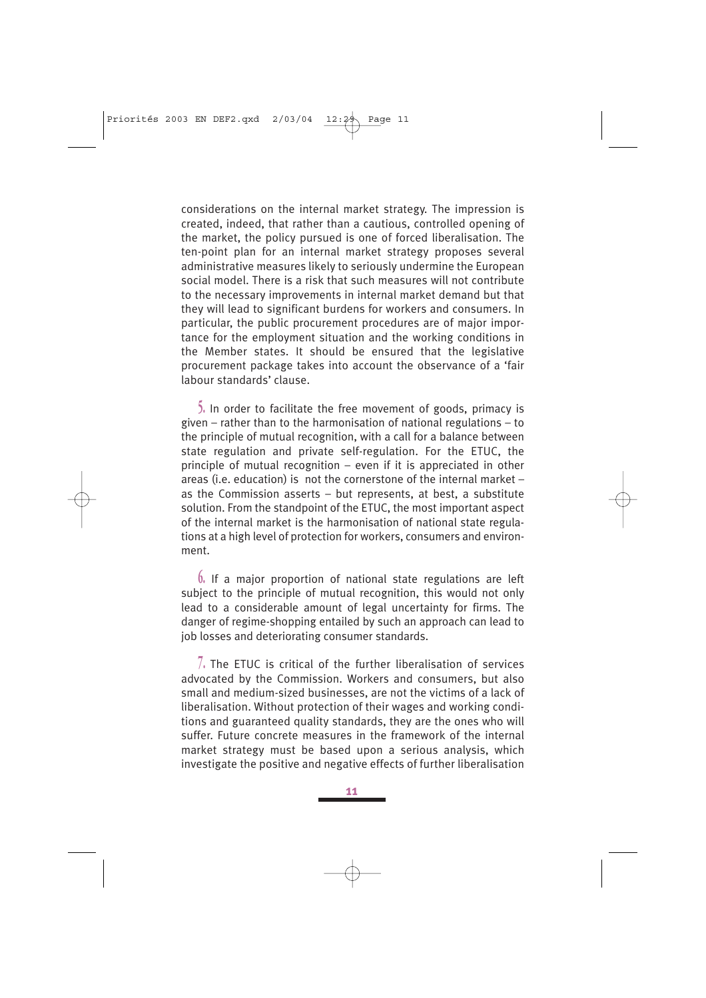considerations on the internal market strategy. The impression is created, indeed, that rather than a cautious, controlled opening of the market, the policy pursued is one of forced liberalisation. The ten-point plan for an internal market strategy proposes several administrative measures likely to seriously undermine the European social model. There is a risk that such measures will not contribute to the necessary improvements in internal market demand but that they will lead to significant burdens for workers and consumers. In particular, the public procurement procedures are of major importance for the employment situation and the working conditions in the Member states. It should be ensured that the legislative procurement package takes into account the observance of a 'fair labour standards' clause.

**5.** In order to facilitate the free movement of goods, primacy is given – rather than to the harmonisation of national regulations – to the principle of mutual recognition, with a call for a balance between state regulation and private self-regulation. For the ETUC, the principle of mutual recognition – even if it is appreciated in other areas (i.e. education) is not the cornerstone of the internal market – as the Commission asserts – but represents, at best, a substitute solution. From the standpoint of the ETUC, the most important aspect of the internal market is the harmonisation of national state regulations at a high level of protection for workers, consumers and environment.

**6.** If a major proportion of national state regulations are left subject to the principle of mutual recognition, this would not only lead to a considerable amount of legal uncertainty for firms. The danger of regime-shopping entailed by such an approach can lead to job losses and deteriorating consumer standards.

**7.** The ETUC is critical of the further liberalisation of services advocated by the Commission. Workers and consumers, but also small and medium-sized businesses, are not the victims of a lack of liberalisation. Without protection of their wages and working conditions and guaranteed quality standards, they are the ones who will suffer. Future concrete measures in the framework of the internal market strategy must be based upon a serious analysis, which investigate the positive and negative effects of further liberalisation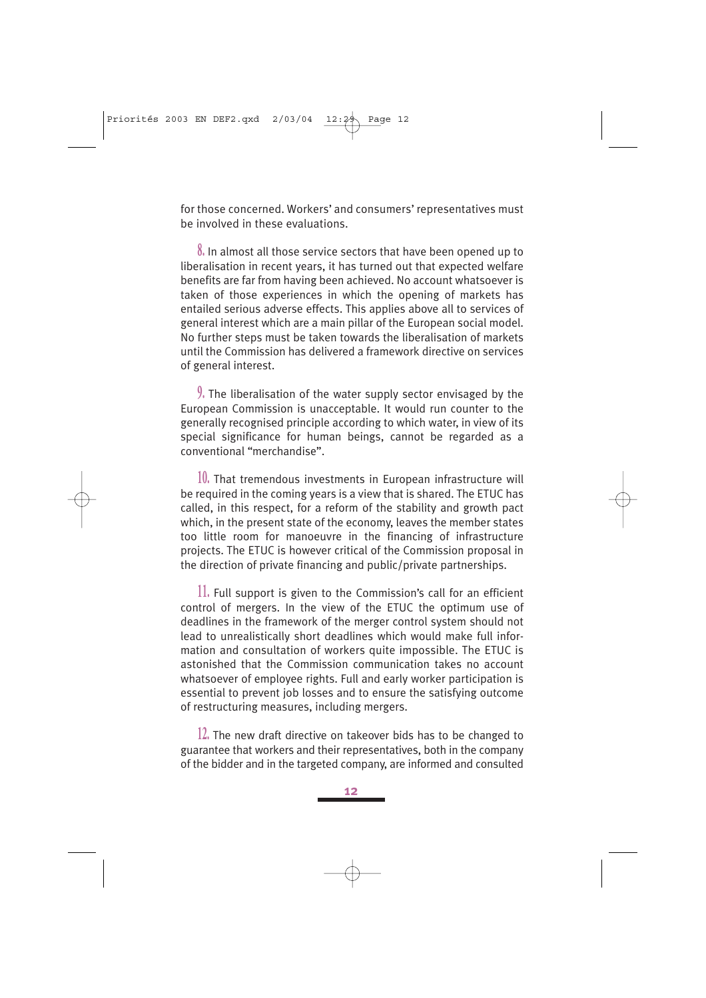for those concerned. Workers' and consumers' representatives must be involved in these evaluations.

**8.** In almost all those service sectors that have been opened up to liberalisation in recent years, it has turned out that expected welfare benefits are far from having been achieved. No account whatsoever is taken of those experiences in which the opening of markets has entailed serious adverse effects. This applies above all to services of general interest which are a main pillar of the European social model. No further steps must be taken towards the liberalisation of markets until the Commission has delivered a framework directive on services of general interest.

**9.** The liberalisation of the water supply sector envisaged by the European Commission is unacceptable. It would run counter to the generally recognised principle according to which water, in view of its special significance for human beings, cannot be regarded as a conventional "merchandise".

**10.** That tremendous investments in European infrastructure will be required in the coming years is a view that is shared. The ETUC has called, in this respect, for a reform of the stability and growth pact which, in the present state of the economy, leaves the member states too little room for manoeuvre in the financing of infrastructure projects. The ETUC is however critical of the Commission proposal in the direction of private financing and public/private partnerships.

**11.** Full support is given to the Commission's call for an efficient control of mergers. In the view of the ETUC the optimum use of deadlines in the framework of the merger control system should not lead to unrealistically short deadlines which would make full information and consultation of workers quite impossible. The ETUC is astonished that the Commission communication takes no account whatsoever of employee rights. Full and early worker participation is essential to prevent job losses and to ensure the satisfying outcome of restructuring measures, including mergers.

**12.** The new draft directive on takeover bids has to be changed to guarantee that workers and their representatives, both in the company of the bidder and in the targeted company, are informed and consulted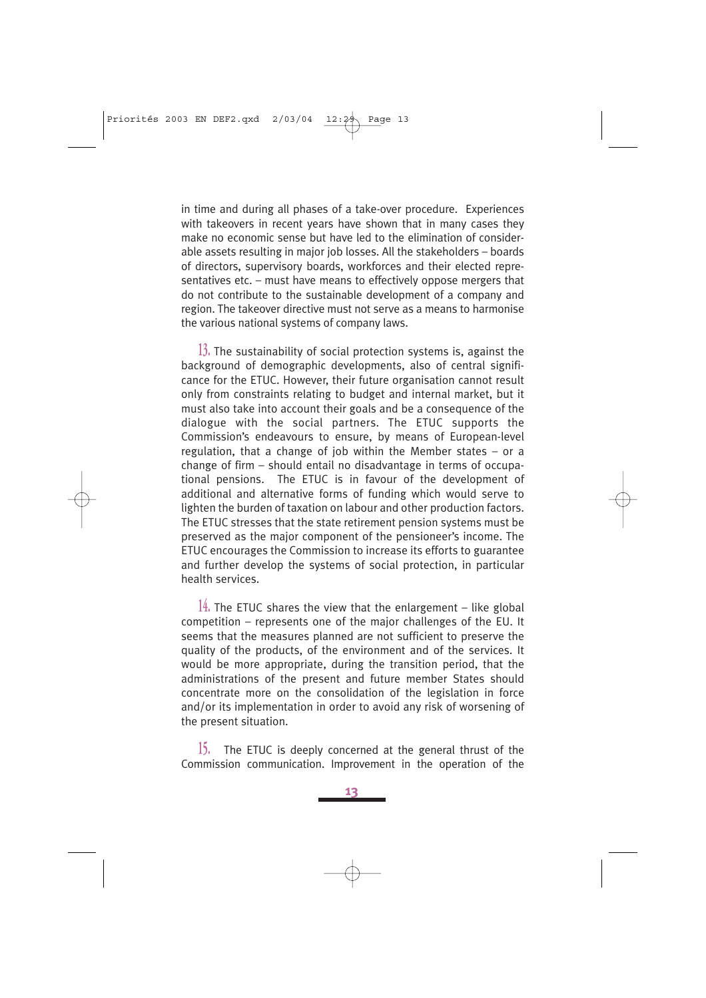in time and during all phases of a take-over procedure. Experiences with takeovers in recent years have shown that in many cases they make no economic sense but have led to the elimination of considerable assets resulting in major job losses. All the stakeholders – boards of directors, supervisory boards, workforces and their elected representatives etc. – must have means to effectively oppose mergers that do not contribute to the sustainable development of a company and region. The takeover directive must not serve as a means to harmonise the various national systems of company laws.

**13.** The sustainability of social protection systems is, against the background of demographic developments, also of central significance for the ETUC. However, their future organisation cannot result only from constraints relating to budget and internal market, but it must also take into account their goals and be a consequence of the dialogue with the social partners. The ETUC supports the Commission's endeavours to ensure, by means of European-level regulation, that a change of job within the Member states – or a change of firm – should entail no disadvantage in terms of occupational pensions. The ETUC is in favour of the development of additional and alternative forms of funding which would serve to lighten the burden of taxation on labour and other production factors. The ETUC stresses that the state retirement pension systems must be preserved as the major component of the pensioneer's income. The ETUC encourages the Commission to increase its efforts to guarantee and further develop the systems of social protection, in particular health services.

**14.** The ETUC shares the view that the enlargement – like global competition – represents one of the major challenges of the EU. It seems that the measures planned are not sufficient to preserve the quality of the products, of the environment and of the services. It would be more appropriate, during the transition period, that the administrations of the present and future member States should concentrate more on the consolidation of the legislation in force and/or its implementation in order to avoid any risk of worsening of the present situation.

**15.** The ETUC is deeply concerned at the general thrust of the Commission communication. Improvement in the operation of the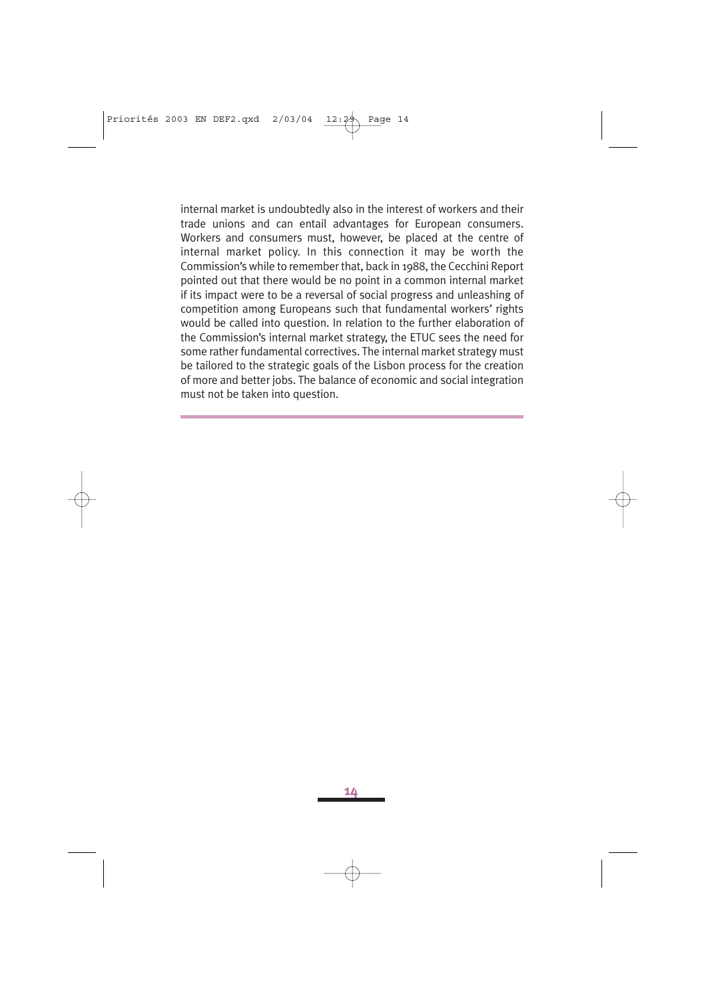internal market is undoubtedly also in the interest of workers and their trade unions and can entail advantages for European consumers. Workers and consumers must, however, be placed at the centre of internal market policy. In this connection it may be worth the Commission's while to remember that, back in 1988, the Cecchini Report pointed out that there would be no point in a common internal market if its impact were to be a reversal of social progress and unleashing of competition among Europeans such that fundamental workers' rights would be called into question. In relation to the further elaboration of the Commission's internal market strategy, the ETUC sees the need for some rather fundamental correctives. The internal market strategy must be tailored to the strategic goals of the Lisbon process for the creation of more and better jobs. The balance of economic and social integration must not be taken into question.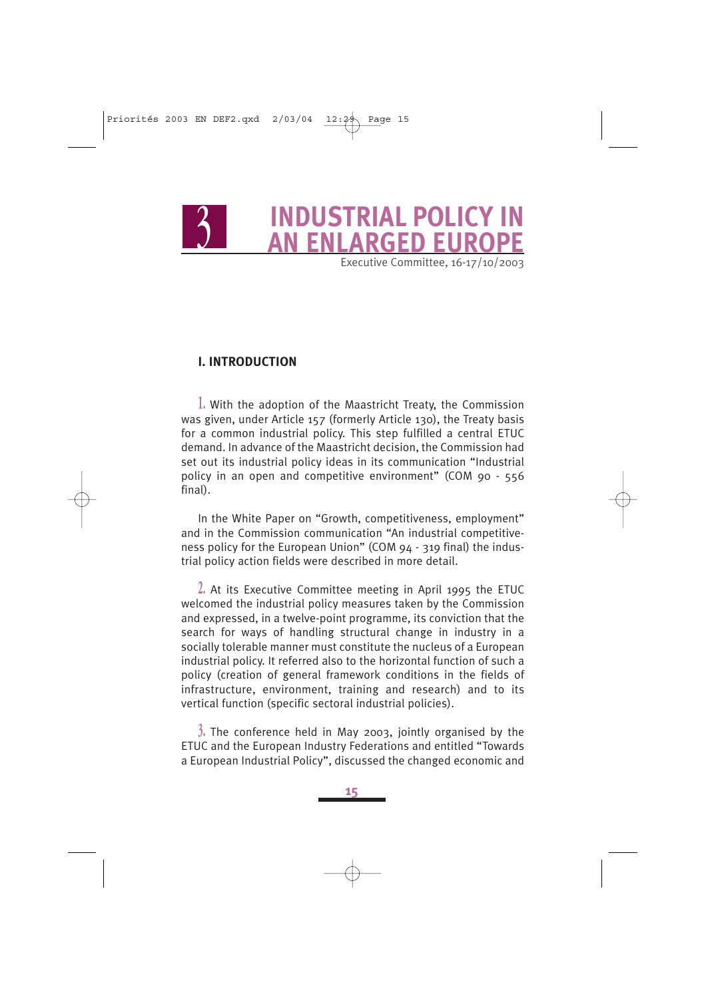# <sup>3</sup> **INDUSTRIAL POLICY IN AN ENLARGED EUROPE**

Executive Committee, 16-17/10/2003

### **I. INTRODUCTION**

**1.** With the adoption of the Maastricht Treaty, the Commission was given, under Article 157 (formerly Article 130), the Treaty basis for a common industrial policy. This step fulfilled a central ETUC demand. In advance of the Maastricht decision, the Commission had set out its industrial policy ideas in its communication "Industrial policy in an open and competitive environment" (COM 90 - 556 final).

In the White Paper on "Growth, competitiveness, employment" and in the Commission communication "An industrial competitiveness policy for the European Union" (COM 94 - 319 final) the industrial policy action fields were described in more detail.

**2.** At its Executive Committee meeting in April 1995 the ETUC welcomed the industrial policy measures taken by the Commission and expressed, in a twelve-point programme, its conviction that the search for ways of handling structural change in industry in a socially tolerable manner must constitute the nucleus of a European industrial policy. It referred also to the horizontal function of such a policy (creation of general framework conditions in the fields of infrastructure, environment, training and research) and to its vertical function (specific sectoral industrial policies).

**3.** The conference held in May 2003, jointly organised by the ETUC and the European Industry Federations and entitled "Towards a European Industrial Policy", discussed the changed economic and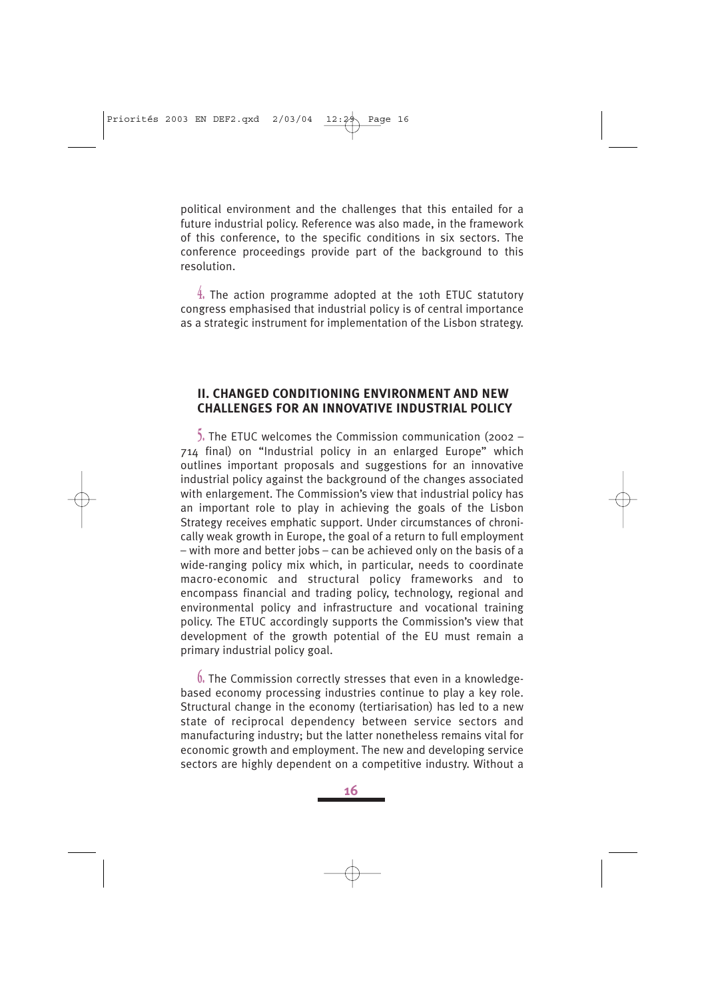political environment and the challenges that this entailed for a future industrial policy. Reference was also made, in the framework of this conference, to the specific conditions in six sectors. The conference proceedings provide part of the background to this resolution.

**4.** The action programme adopted at the 10th ETUC statutory congress emphasised that industrial policy is of central importance as a strategic instrument for implementation of the Lisbon strategy.

#### **II. CHANGED CONDITIONING ENVIRONMENT AND NEW CHALLENGES FOR AN INNOVATIVE INDUSTRIAL POLICY**

**5.** The ETUC welcomes the Commission communication (2002 – 714 final) on "Industrial policy in an enlarged Europe" which outlines important proposals and suggestions for an innovative industrial policy against the background of the changes associated with enlargement. The Commission's view that industrial policy has an important role to play in achieving the goals of the Lisbon Strategy receives emphatic support. Under circumstances of chronically weak growth in Europe, the goal of a return to full employment – with more and better jobs – can be achieved only on the basis of a wide-ranging policy mix which, in particular, needs to coordinate macro-economic and structural policy frameworks and to encompass financial and trading policy, technology, regional and environmental policy and infrastructure and vocational training policy. The ETUC accordingly supports the Commission's view that development of the growth potential of the EU must remain a primary industrial policy goal.

**6.** The Commission correctly stresses that even in a knowledgebased economy processing industries continue to play a key role. Structural change in the economy (tertiarisation) has led to a new state of reciprocal dependency between service sectors and manufacturing industry; but the latter nonetheless remains vital for economic growth and employment. The new and developing service sectors are highly dependent on a competitive industry. Without a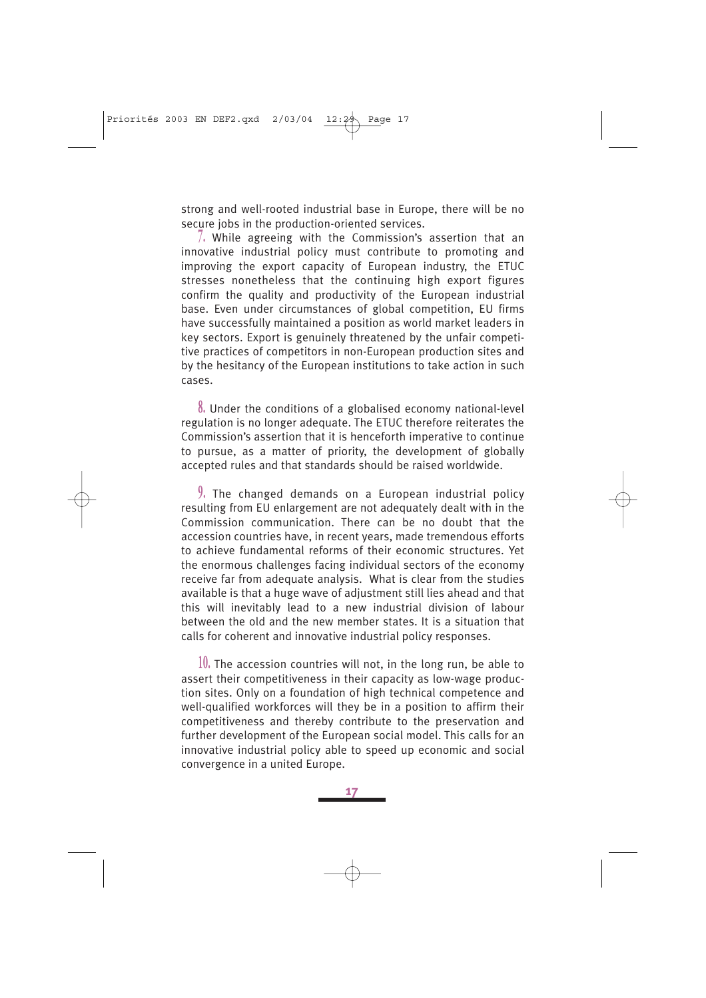strong and well-rooted industrial base in Europe, there will be no secure jobs in the production-oriented services.

**7.** While agreeing with the Commission's assertion that an innovative industrial policy must contribute to promoting and improving the export capacity of European industry, the ETUC stresses nonetheless that the continuing high export figures confirm the quality and productivity of the European industrial base. Even under circumstances of global competition, EU firms have successfully maintained a position as world market leaders in key sectors. Export is genuinely threatened by the unfair competitive practices of competitors in non-European production sites and by the hesitancy of the European institutions to take action in such cases.

**8.** Under the conditions of a globalised economy national-level regulation is no longer adequate. The ETUC therefore reiterates the Commission's assertion that it is henceforth imperative to continue to pursue, as a matter of priority, the development of globally accepted rules and that standards should be raised worldwide.

**9.** The changed demands on a European industrial policy resulting from EU enlargement are not adequately dealt with in the Commission communication. There can be no doubt that the accession countries have, in recent years, made tremendous efforts to achieve fundamental reforms of their economic structures. Yet the enormous challenges facing individual sectors of the economy receive far from adequate analysis. What is clear from the studies available is that a huge wave of adjustment still lies ahead and that this will inevitably lead to a new industrial division of labour between the old and the new member states. It is a situation that calls for coherent and innovative industrial policy responses.

**10.** The accession countries will not, in the long run, be able to assert their competitiveness in their capacity as low-wage production sites. Only on a foundation of high technical competence and well-qualified workforces will they be in a position to affirm their competitiveness and thereby contribute to the preservation and further development of the European social model. This calls for an innovative industrial policy able to speed up economic and social convergence in a united Europe.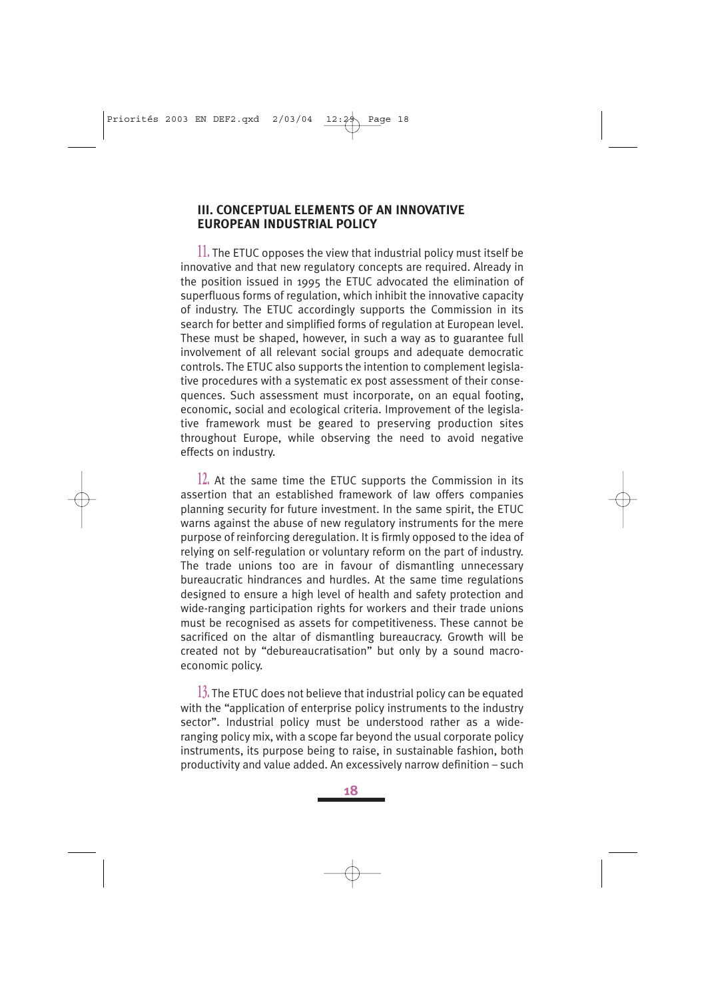### **III. CONCEPTUAL ELEMENTS OF AN INNOVATIVE EUROPEAN INDUSTRIAL POLICY**

**11.** The ETUC opposes the view that industrial policy must itself be innovative and that new regulatory concepts are required. Already in the position issued in 1995 the ETUC advocated the elimination of superfluous forms of regulation, which inhibit the innovative capacity of industry. The ETUC accordingly supports the Commission in its search for better and simplified forms of regulation at European level. These must be shaped, however, in such a way as to guarantee full involvement of all relevant social groups and adequate democratic controls. The ETUC also supports the intention to complement legislative procedures with a systematic ex post assessment of their consequences. Such assessment must incorporate, on an equal footing, economic, social and ecological criteria. Improvement of the legislative framework must be geared to preserving production sites throughout Europe, while observing the need to avoid negative effects on industry.

**12.** At the same time the ETUC supports the Commission in its assertion that an established framework of law offers companies planning security for future investment. In the same spirit, the ETUC warns against the abuse of new regulatory instruments for the mere purpose of reinforcing deregulation. It is firmly opposed to the idea of relying on self-regulation or voluntary reform on the part of industry. The trade unions too are in favour of dismantling unnecessary bureaucratic hindrances and hurdles. At the same time regulations designed to ensure a high level of health and safety protection and wide-ranging participation rights for workers and their trade unions must be recognised as assets for competitiveness. These cannot be sacrificed on the altar of dismantling bureaucracy. Growth will be created not by "debureaucratisation" but only by a sound macroeconomic policy.

**13.** The ETUC does not believe that industrial policy can be equated with the "application of enterprise policy instruments to the industry sector". Industrial policy must be understood rather as a wideranging policy mix, with a scope far beyond the usual corporate policy instruments, its purpose being to raise, in sustainable fashion, both productivity and value added. An excessively narrow definition – such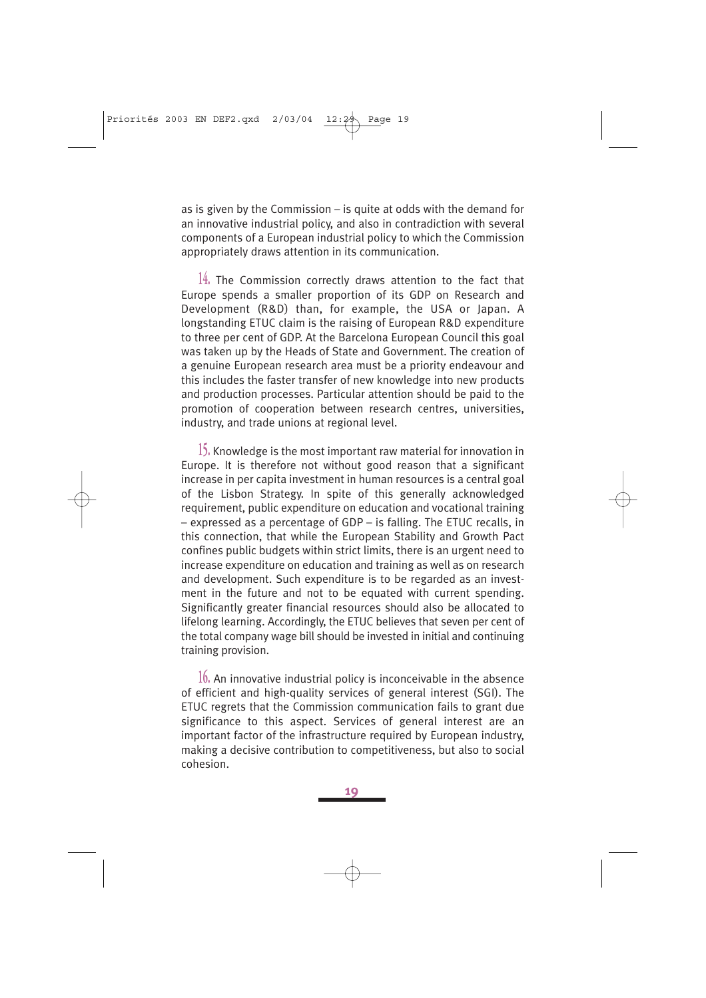as is given by the Commission – is quite at odds with the demand for an innovative industrial policy, and also in contradiction with several components of a European industrial policy to which the Commission appropriately draws attention in its communication.

**14.** The Commission correctly draws attention to the fact that Europe spends a smaller proportion of its GDP on Research and Development (R&D) than, for example, the USA or Japan. A longstanding ETUC claim is the raising of European R&D expenditure to three per cent of GDP. At the Barcelona European Council this goal was taken up by the Heads of State and Government. The creation of a genuine European research area must be a priority endeavour and this includes the faster transfer of new knowledge into new products and production processes. Particular attention should be paid to the promotion of cooperation between research centres, universities, industry, and trade unions at regional level.

**15.** Knowledge is the most important raw material for innovation in Europe. It is therefore not without good reason that a significant increase in per capita investment in human resources is a central goal of the Lisbon Strategy. In spite of this generally acknowledged requirement, public expenditure on education and vocational training – expressed as a percentage of GDP – is falling. The ETUC recalls, in this connection, that while the European Stability and Growth Pact confines public budgets within strict limits, there is an urgent need to increase expenditure on education and training as well as on research and development. Such expenditure is to be regarded as an investment in the future and not to be equated with current spending. Significantly greater financial resources should also be allocated to lifelong learning. Accordingly, the ETUC believes that seven per cent of the total company wage bill should be invested in initial and continuing training provision.

**16.** An innovative industrial policy is inconceivable in the absence of efficient and high-quality services of general interest (SGI). The ETUC regrets that the Commission communication fails to grant due significance to this aspect. Services of general interest are an important factor of the infrastructure required by European industry, making a decisive contribution to competitiveness, but also to social cohesion.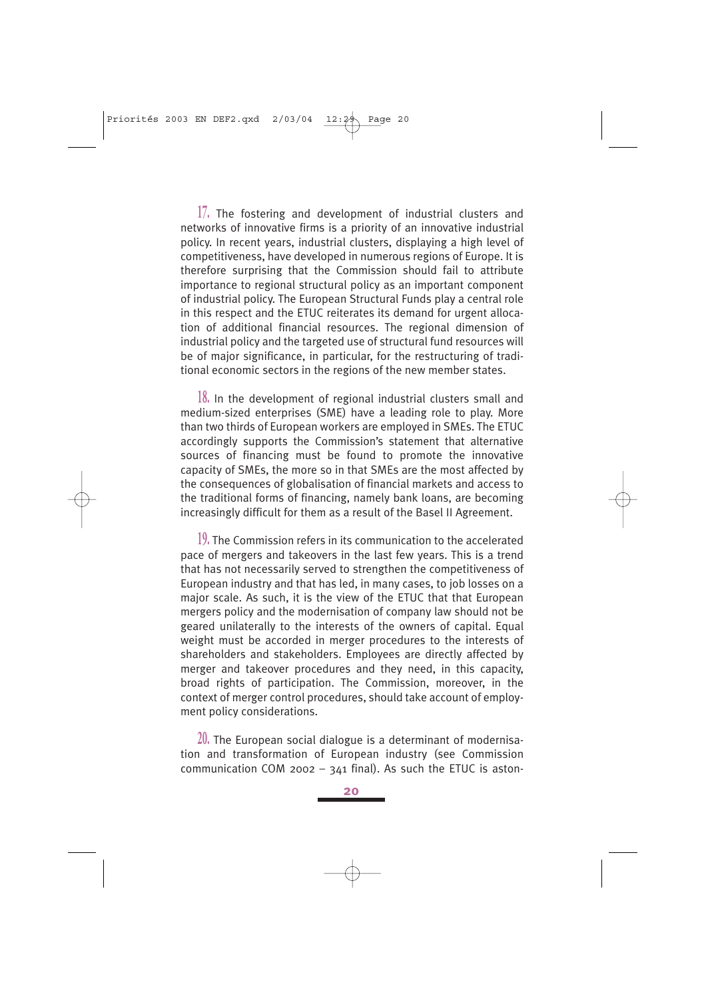**17.** The fostering and development of industrial clusters and networks of innovative firms is a priority of an innovative industrial policy. In recent years, industrial clusters, displaying a high level of competitiveness, have developed in numerous regions of Europe. It is therefore surprising that the Commission should fail to attribute importance to regional structural policy as an important component of industrial policy. The European Structural Funds play a central role in this respect and the ETUC reiterates its demand for urgent allocation of additional financial resources. The regional dimension of industrial policy and the targeted use of structural fund resources will be of major significance, in particular, for the restructuring of traditional economic sectors in the regions of the new member states.

**18.** In the development of regional industrial clusters small and medium-sized enterprises (SME) have a leading role to play. More than two thirds of European workers are employed in SMEs. The ETUC accordingly supports the Commission's statement that alternative sources of financing must be found to promote the innovative capacity of SMEs, the more so in that SMEs are the most affected by the consequences of globalisation of financial markets and access to the traditional forms of financing, namely bank loans, are becoming increasingly difficult for them as a result of the Basel II Agreement.

**19.** The Commission refers in its communication to the accelerated pace of mergers and takeovers in the last few years. This is a trend that has not necessarily served to strengthen the competitiveness of European industry and that has led, in many cases, to job losses on a major scale. As such, it is the view of the ETUC that that European mergers policy and the modernisation of company law should not be geared unilaterally to the interests of the owners of capital. Equal weight must be accorded in merger procedures to the interests of shareholders and stakeholders. Employees are directly affected by merger and takeover procedures and they need, in this capacity, broad rights of participation. The Commission, moreover, in the context of merger control procedures, should take account of employment policy considerations.

**20.** The European social dialogue is a determinant of modernisation and transformation of European industry (see Commission communication COM 2002 –  $341$  final). As such the ETUC is aston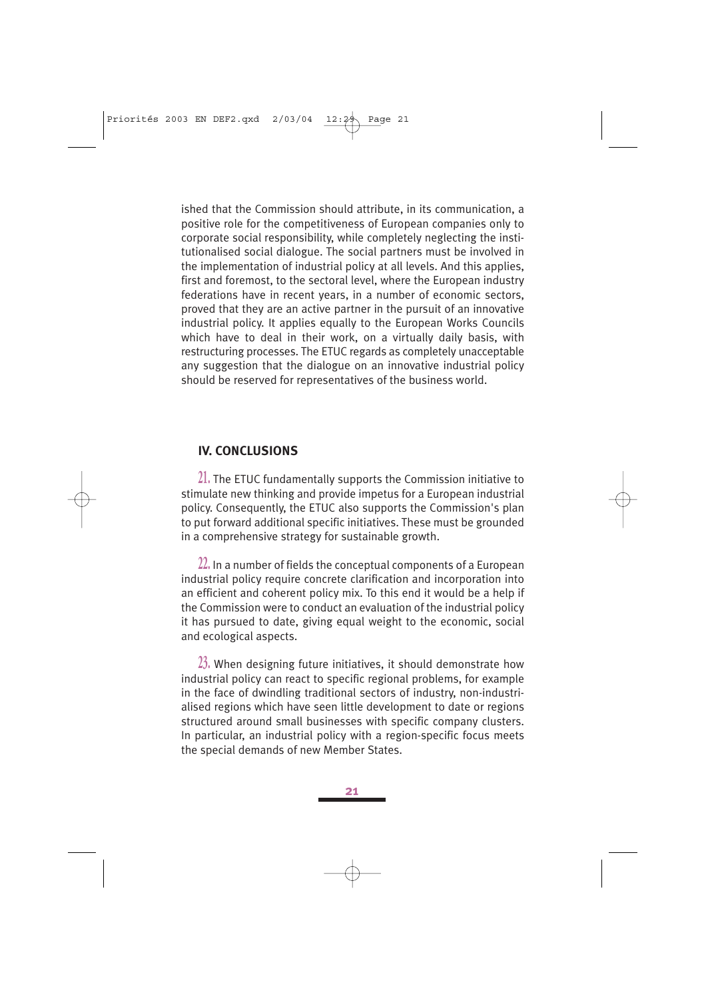ished that the Commission should attribute, in its communication, a positive role for the competitiveness of European companies only to corporate social responsibility, while completely neglecting the institutionalised social dialogue. The social partners must be involved in the implementation of industrial policy at all levels. And this applies, first and foremost, to the sectoral level, where the European industry federations have in recent years, in a number of economic sectors, proved that they are an active partner in the pursuit of an innovative industrial policy. It applies equally to the European Works Councils which have to deal in their work, on a virtually daily basis, with restructuring processes. The ETUC regards as completely unacceptable any suggestion that the dialogue on an innovative industrial policy should be reserved for representatives of the business world.

### **IV. CONCLUSIONS**

**21.** The ETUC fundamentally supports the Commission initiative to stimulate new thinking and provide impetus for a European industrial policy. Consequently, the ETUC also supports the Commission's plan to put forward additional specific initiatives. These must be grounded in a comprehensive strategy for sustainable growth.

**22.** In a number of fields the conceptual components of a European industrial policy require concrete clarification and incorporation into an efficient and coherent policy mix. To this end it would be a help if the Commission were to conduct an evaluation of the industrial policy it has pursued to date, giving equal weight to the economic, social and ecological aspects.

**23.** When designing future initiatives, it should demonstrate how industrial policy can react to specific regional problems, for example in the face of dwindling traditional sectors of industry, non-industrialised regions which have seen little development to date or regions structured around small businesses with specific company clusters. In particular, an industrial policy with a region-specific focus meets the special demands of new Member States.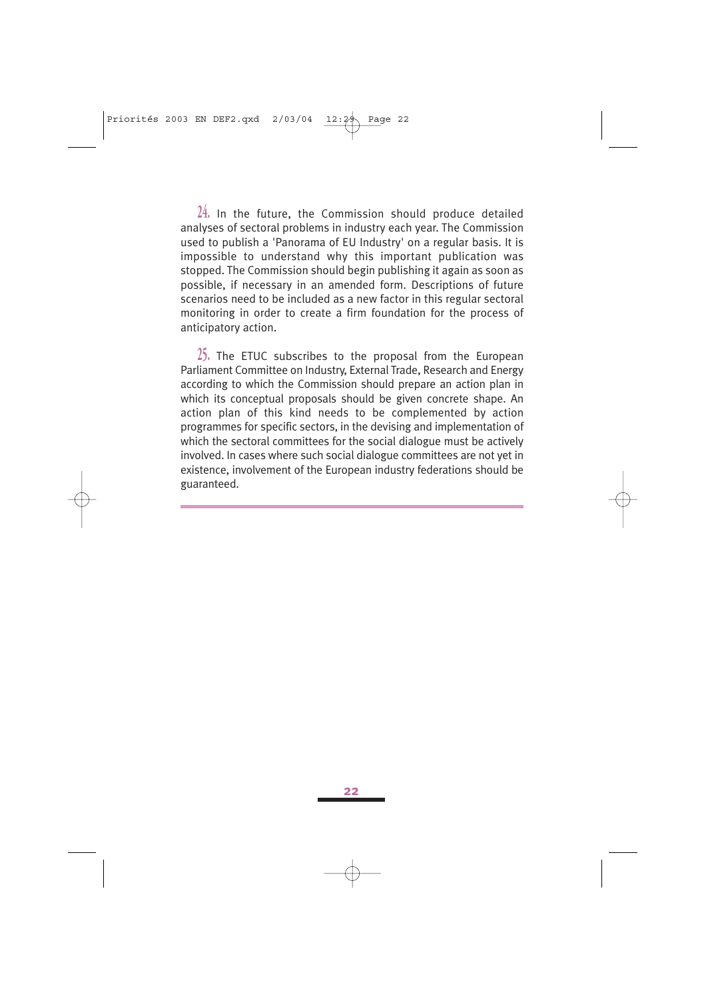**24.** In the future, the Commission should produce detailed analyses of sectoral problems in industry each year. The Commission used to publish a 'Panorama of EU Industry' on a regular basis. It is impossible to understand why this important publication was stopped. The Commission should begin publishing it again as soon as possible, if necessary in an amended form. Descriptions of future scenarios need to be included as a new factor in this regular sectoral monitoring in order to create a firm foundation for the process of anticipatory action.

**25.** The ETUC subscribes to the proposal from the European Parliament Committee on Industry, External Trade, Research and Energy according to which the Commission should prepare an action plan in which its conceptual proposals should be given concrete shape. An action plan of this kind needs to be complemented by action programmes for specific sectors, in the devising and implementation of which the sectoral committees for the social dialogue must be actively involved. In cases where such social dialogue committees are not yet in existence, involvement of the European industry federations should be guaranteed.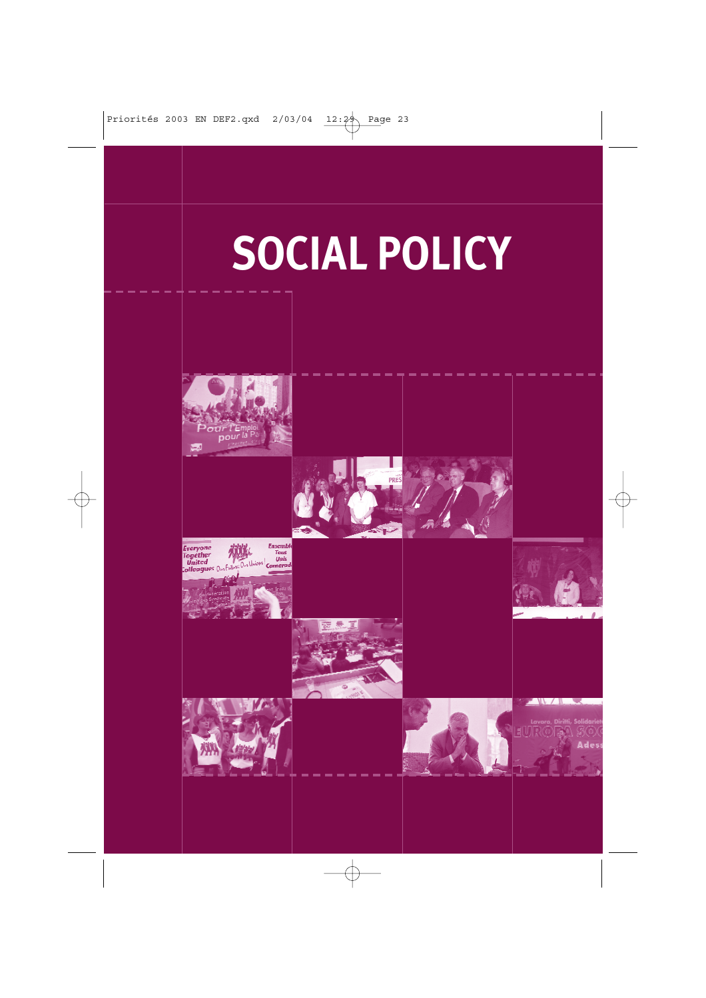## **SOCIAL POLICY**

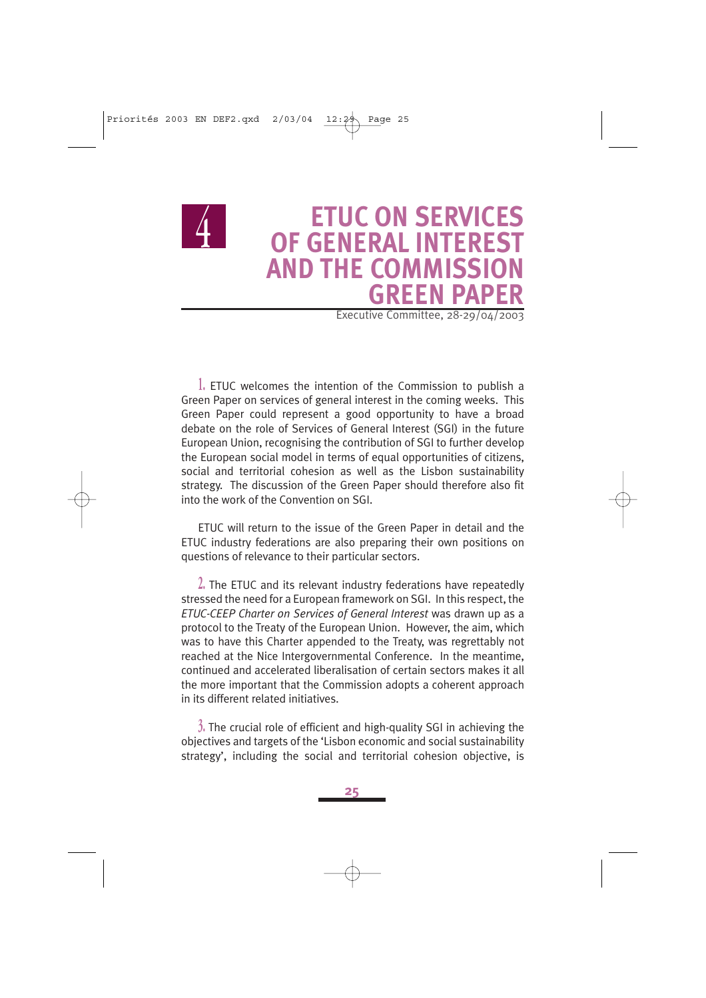

### **ETUC ON SERVICES OF GENERAL INTEREST AND THE COMMISSION GREEN PAPER**

Executive Committee, 28-29/04/2003

**1.** ETUC welcomes the intention of the Commission to publish a Green Paper on services of general interest in the coming weeks. This Green Paper could represent a good opportunity to have a broad debate on the role of Services of General Interest (SGI) in the future European Union, recognising the contribution of SGI to further develop the European social model in terms of equal opportunities of citizens, social and territorial cohesion as well as the Lisbon sustainability strategy. The discussion of the Green Paper should therefore also fit into the work of the Convention on SGI.

ETUC will return to the issue of the Green Paper in detail and the ETUC industry federations are also preparing their own positions on questions of relevance to their particular sectors.

**2.** The ETUC and its relevant industry federations have repeatedly stressed the need for a European framework on SGI. In this respect, the *ETUC-CEEP Charter on Services of General Interest* was drawn up as a protocol to the Treaty of the European Union. However, the aim, which was to have this Charter appended to the Treaty, was regrettably not reached at the Nice Intergovernmental Conference. In the meantime, continued and accelerated liberalisation of certain sectors makes it all the more important that the Commission adopts a coherent approach in its different related initiatives.

**3.** The crucial role of efficient and high-quality SGI in achieving the objectives and targets of the 'Lisbon economic and social sustainability strategy', including the social and territorial cohesion objective, is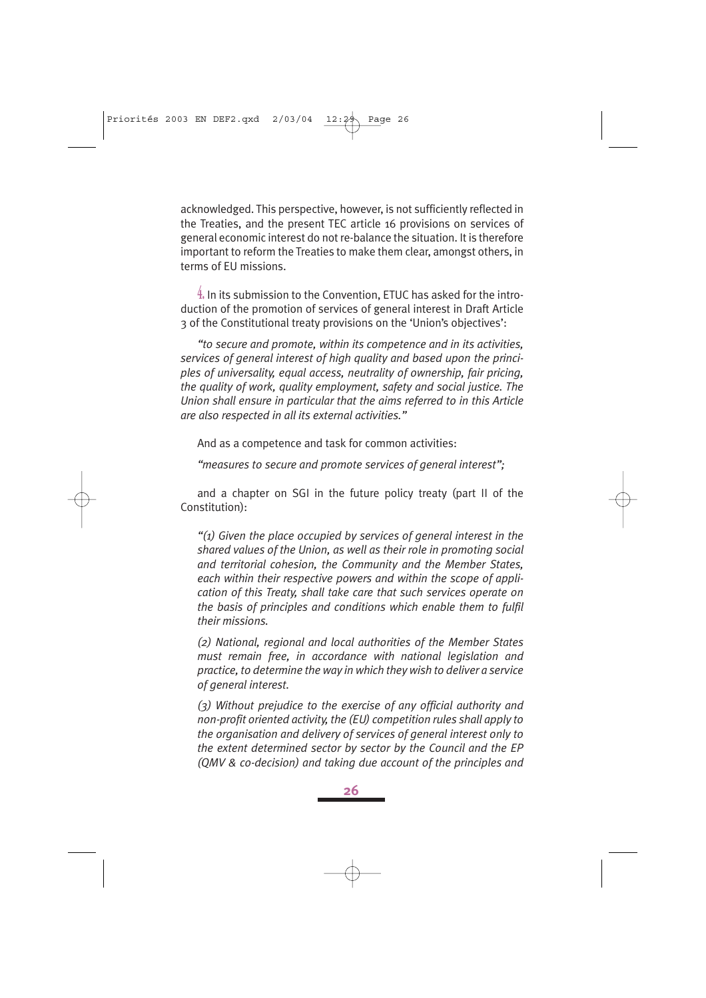acknowledged. This perspective, however, is not sufficiently reflected in the Treaties, and the present TEC article 16 provisions on services of general economic interest do not re-balance the situation. It is therefore important to reform the Treaties to make them clear, amongst others, in terms of EU missions.

**4.** In its submission to the Convention, ETUC has asked for the introduction of the promotion of services of general interest in Draft Article 3 of the Constitutional treaty provisions on the 'Union's objectives':

*"to secure and promote, within its competence and in its activities, services of general interest of high quality and based upon the principles of universality, equal access, neutrality of ownership, fair pricing, the quality of work, quality employment, safety and social justice. The Union shall ensure in particular that the aims referred to in this Article are also respected in all its external activities."*

And as a competence and task for common activities:

*"measures to secure and promote services of general interest";* 

and a chapter on SGI in the future policy treaty (part II of the Constitution):

*"(1) Given the place occupied by services of general interest in the shared values of the Union, as well as their role in promoting social and territorial cohesion, the Community and the Member States, each within their respective powers and within the scope of application of this Treaty, shall take care that such services operate on the basis of principles and conditions which enable them to fulfil their missions.*

*(2) National, regional and local authorities of the Member States must remain free, in accordance with national legislation and practice, to determine the way in which they wish to deliver a service of general interest.*

*(3) Without prejudice to the exercise of any official authority and non-profit oriented activity, the (EU) competition rules shall apply to the organisation and delivery of services of general interest only to the extent determined sector by sector by the Council and the EP (QMV & co-decision) and taking due account of the principles and*

**26**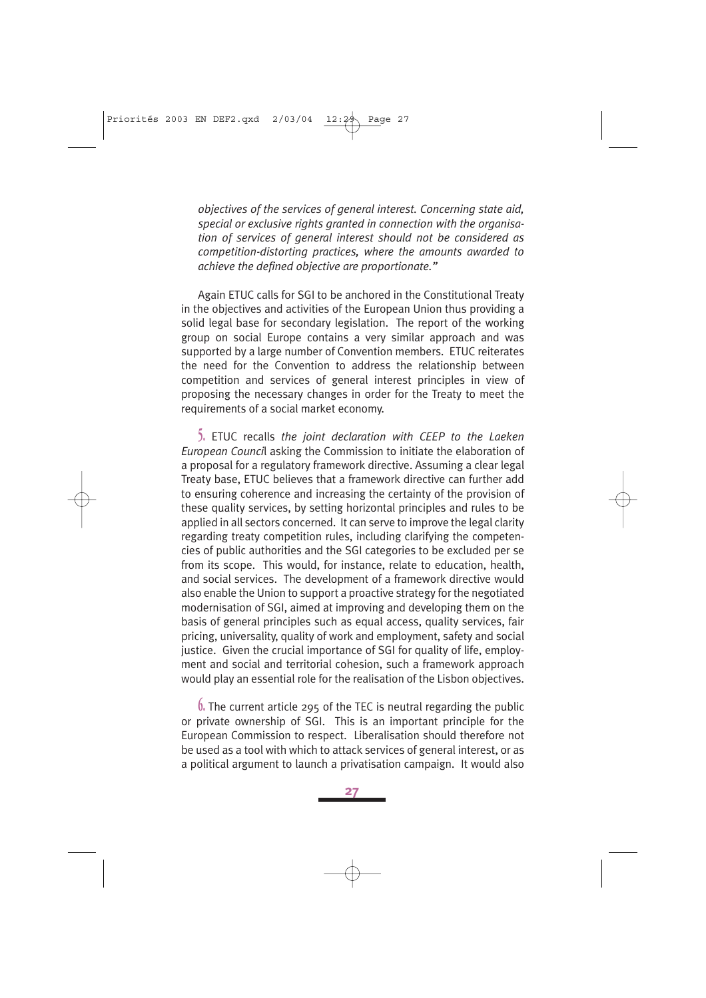*objectives of the services of general interest. Concerning state aid,* special or exclusive rights granted in connection with the organisa*tion of services of general interest should not be considered as competition-distorting practices, where the amounts awarded to achieve the defined objective are proportionate."*

Again ETUC calls for SGI to be anchored in the Constitutional Treaty in the objectives and activities of the European Union thus providing a solid legal base for secondary legislation. The report of the working group on social Europe contains a very similar approach and was supported by a large number of Convention members. ETUC reiterates the need for the Convention to address the relationship between competition and services of general interest principles in view of proposing the necessary changes in order for the Treaty to meet the requirements of a social market economy.

**5.** ETUC recalls *the joint declaration with CEEP to the Laeken European Counci*l asking the Commission to initiate the elaboration of a proposal for a regulatory framework directive. Assuming a clear legal Treaty base, ETUC believes that a framework directive can further add to ensuring coherence and increasing the certainty of the provision of these quality services, by setting horizontal principles and rules to be applied in all sectors concerned. It can serve to improve the legal clarity regarding treaty competition rules, including clarifying the competencies of public authorities and the SGI categories to be excluded per se from its scope. This would, for instance, relate to education, health, and social services. The development of a framework directive would also enable the Union to support a proactive strategy for the negotiated modernisation of SGI, aimed at improving and developing them on the basis of general principles such as equal access, quality services, fair pricing, universality, quality of work and employment, safety and social justice. Given the crucial importance of SGI for quality of life, employment and social and territorial cohesion, such a framework approach would play an essential role for the realisation of the Lisbon objectives.

**6.** The current article 295 of the TEC is neutral regarding the public or private ownership of SGI. This is an important principle for the European Commission to respect. Liberalisation should therefore not be used as a tool with which to attack services of general interest, or as a political argument to launch a privatisation campaign. It would also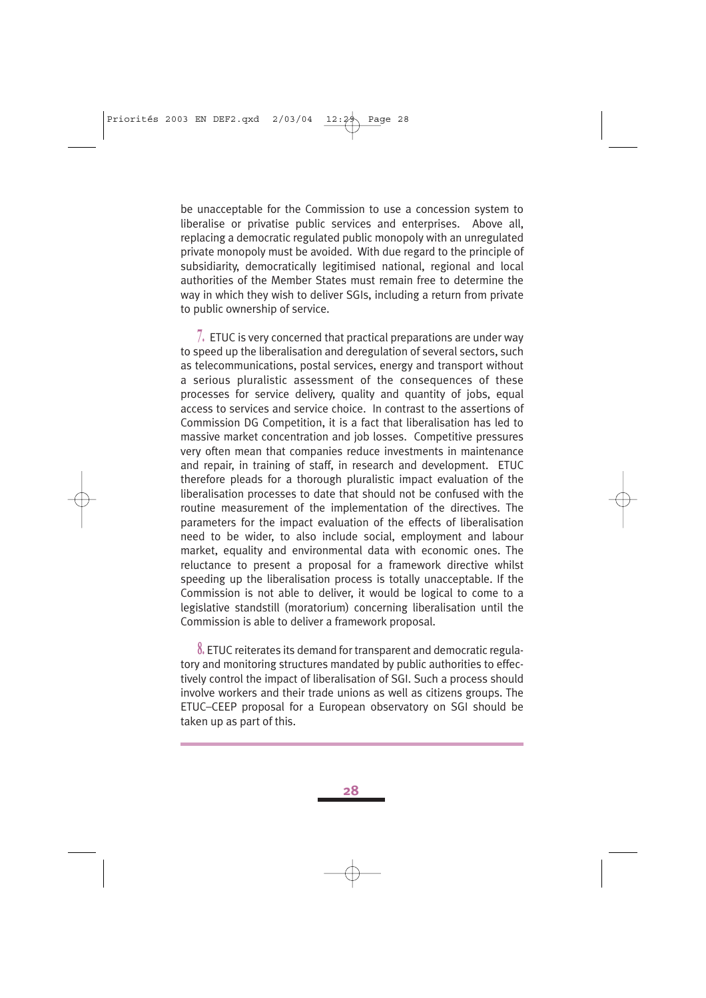be unacceptable for the Commission to use a concession system to liberalise or privatise public services and enterprises. Above all, replacing a democratic regulated public monopoly with an unregulated private monopoly must be avoided. With due regard to the principle of subsidiarity, democratically legitimised national, regional and local authorities of the Member States must remain free to determine the way in which they wish to deliver SGIs, including a return from private to public ownership of service.

**7.** ETUC is very concerned that practical preparations are under way to speed up the liberalisation and deregulation of several sectors, such as telecommunications, postal services, energy and transport without a serious pluralistic assessment of the consequences of these processes for service delivery, quality and quantity of jobs, equal access to services and service choice. In contrast to the assertions of Commission DG Competition, it is a fact that liberalisation has led to massive market concentration and job losses. Competitive pressures very often mean that companies reduce investments in maintenance and repair, in training of staff, in research and development. ETUC therefore pleads for a thorough pluralistic impact evaluation of the liberalisation processes to date that should not be confused with the routine measurement of the implementation of the directives. The parameters for the impact evaluation of the effects of liberalisation need to be wider, to also include social, employment and labour market, equality and environmental data with economic ones. The reluctance to present a proposal for a framework directive whilst speeding up the liberalisation process is totally unacceptable. If the Commission is not able to deliver, it would be logical to come to a legislative standstill (moratorium) concerning liberalisation until the Commission is able to deliver a framework proposal.

**8.** ETUC reiterates its demand for transparent and democratic regulatory and monitoring structures mandated by public authorities to effectively control the impact of liberalisation of SGI. Such a process should involve workers and their trade unions as well as citizens groups. The ETUC–CEEP proposal for a European observatory on SGI should be taken up as part of this.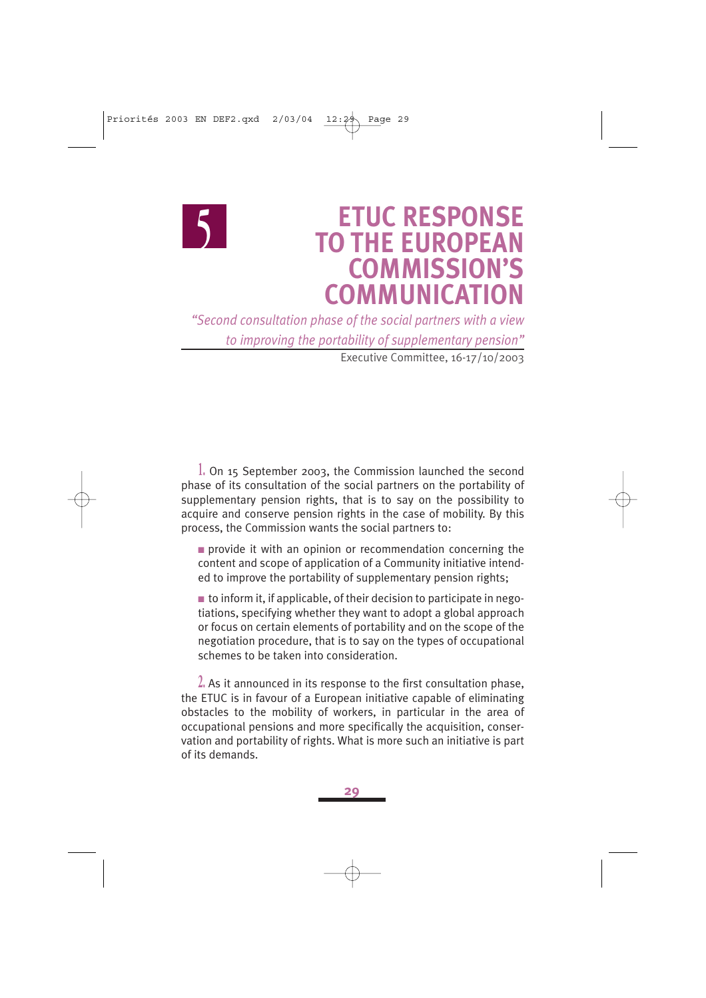### **ETUC RESPONSE TO THE EUROPEAN COMMISSION'S COMMUNICATION**

*"Second consultation phase of the social partners with a view to improving the portability of supplementary pension"* Executive Committee, 16-17/10/2003

 $\bigcup$ 

**1.** On 15 September 2003, the Commission launched the second phase of its consultation of the social partners on the portability of supplementary pension rights, that is to say on the possibility to acquire and conserve pension rights in the case of mobility. By this process, the Commission wants the social partners to:

■ provide it with an opinion or recommendation concerning the content and scope of application of a Community initiative intended to improve the portability of supplementary pension rights;

 $\blacksquare$  to inform it, if applicable, of their decision to participate in negotiations, specifying whether they want to adopt a global approach or focus on certain elements of portability and on the scope of the negotiation procedure, that is to say on the types of occupational schemes to be taken into consideration.

**2.** As it announced in its response to the first consultation phase, the ETUC is in favour of a European initiative capable of eliminating obstacles to the mobility of workers, in particular in the area of occupational pensions and more specifically the acquisition, conservation and portability of rights. What is more such an initiative is part of its demands.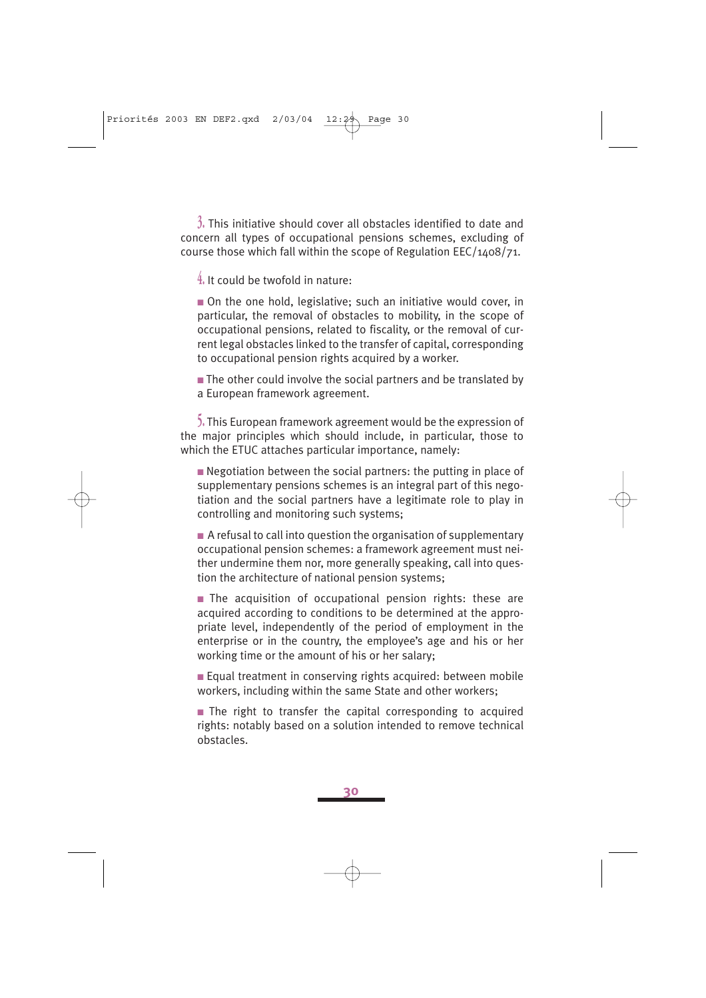**3.** This initiative should cover all obstacles identified to date and concern all types of occupational pensions schemes, excluding of course those which fall within the scope of Regulation EEC/1408/71.

**4.** It could be twofold in nature:

■ On the one hold, legislative; such an initiative would cover, in particular, the removal of obstacles to mobility, in the scope of occupational pensions, related to fiscality, or the removal of current legal obstacles linked to the transfer of capital, corresponding to occupational pension rights acquired by a worker.

 $\blacksquare$  The other could involve the social partners and be translated by a European framework agreement.

**5.** This European framework agreement would be the expression of the major principles which should include, in particular, those to which the ETUC attaches particular importance, namely:

■ Negotiation between the social partners: the putting in place of supplementary pensions schemes is an integral part of this negotiation and the social partners have a legitimate role to play in controlling and monitoring such systems;

 $\blacksquare$  A refusal to call into question the organisation of supplementary occupational pension schemes: a framework agreement must neither undermine them nor, more generally speaking, call into question the architecture of national pension systems;

■ The acquisition of occupational pension rights: these are acquired according to conditions to be determined at the appropriate level, independently of the period of employment in the enterprise or in the country, the employee's age and his or her working time or the amount of his or her salary;

■ Equal treatment in conserving rights acquired: between mobile workers, including within the same State and other workers;

■ The right to transfer the capital corresponding to acquired rights: notably based on a solution intended to remove technical obstacles.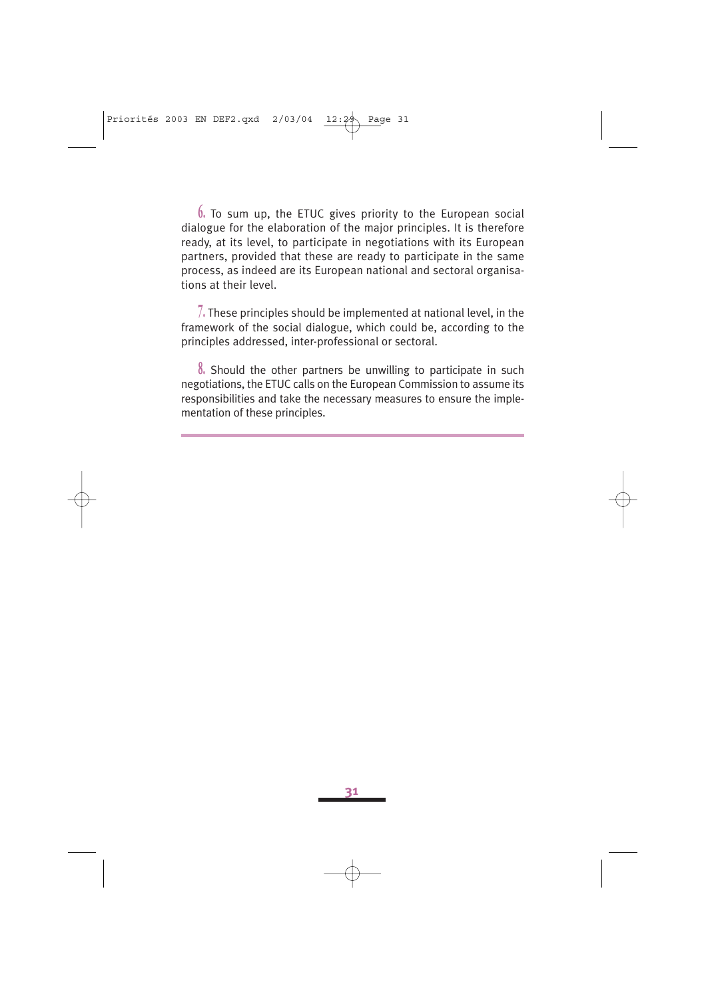**6.** To sum up, the ETUC gives priority to the European social dialogue for the elaboration of the major principles. It is therefore ready, at its level, to participate in negotiations with its European partners, provided that these are ready to participate in the same process, as indeed are its European national and sectoral organisations at their level.

**7.** These principles should be implemented at national level, in the framework of the social dialogue, which could be, according to the principles addressed, inter-professional or sectoral.

**8.** Should the other partners be unwilling to participate in such negotiations, the ETUC calls on the European Commission to assume its responsibilities and take the necessary measures to ensure the implementation of these principles.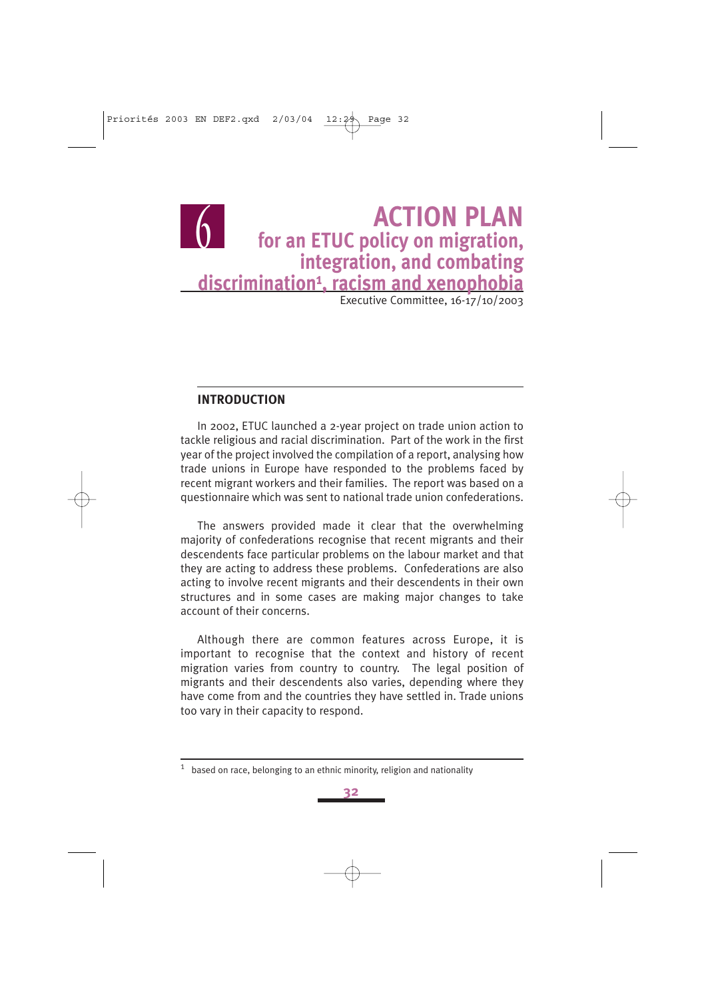### **ACTION PLAN for an ETUC policy on migration, integration, and combating discrimination1, racism and xenophobia** Executive Committee, 16-17/10/2003  $\overline{0}$

**INTRODUCTION** 

In 2002, ETUC launched a 2-year project on trade union action to tackle religious and racial discrimination. Part of the work in the first year of the project involved the compilation of a report, analysing how trade unions in Europe have responded to the problems faced by recent migrant workers and their families. The report was based on a questionnaire which was sent to national trade union confederations.

The answers provided made it clear that the overwhelming majority of confederations recognise that recent migrants and their descendents face particular problems on the labour market and that they are acting to address these problems. Confederations are also acting to involve recent migrants and their descendents in their own structures and in some cases are making major changes to take account of their concerns.

Although there are common features across Europe, it is important to recognise that the context and history of recent migration varies from country to country. The legal position of migrants and their descendents also varies, depending where they have come from and the countries they have settled in. Trade unions too vary in their capacity to respond.

 $1$  based on race, belonging to an ethnic minority, religion and nationality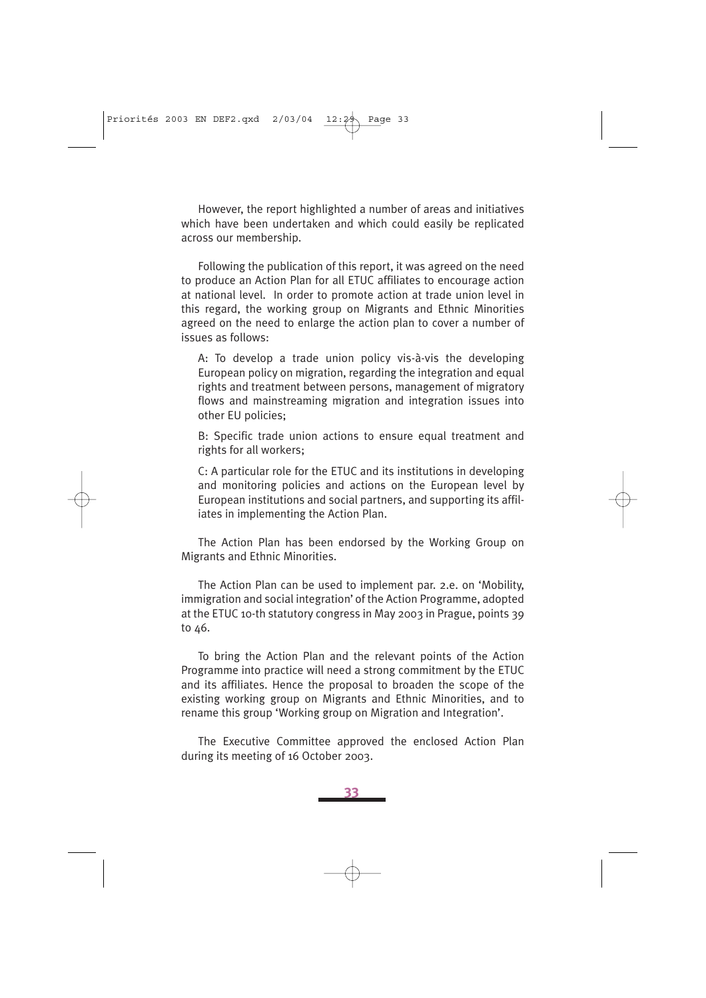However, the report highlighted a number of areas and initiatives which have been undertaken and which could easily be replicated across our membership.

Following the publication of this report, it was agreed on the need to produce an Action Plan for all ETUC affiliates to encourage action at national level. In order to promote action at trade union level in this regard, the working group on Migrants and Ethnic Minorities agreed on the need to enlarge the action plan to cover a number of issues as follows:

A: To develop a trade union policy vis-à-vis the developing European policy on migration, regarding the integration and equal rights and treatment between persons, management of migratory flows and mainstreaming migration and integration issues into other EU policies;

B: Specific trade union actions to ensure equal treatment and rights for all workers;

C: A particular role for the ETUC and its institutions in developing and monitoring policies and actions on the European level by European institutions and social partners, and supporting its affiliates in implementing the Action Plan.

The Action Plan has been endorsed by the Working Group on Migrants and Ethnic Minorities.

The Action Plan can be used to implement par. 2.e. on 'Mobility, immigration and social integration' of the Action Programme, adopted at the ETUC 10-th statutory congress in May 2003 in Prague, points 39 to 46.

To bring the Action Plan and the relevant points of the Action Programme into practice will need a strong commitment by the ETUC and its affiliates. Hence the proposal to broaden the scope of the existing working group on Migrants and Ethnic Minorities, and to rename this group 'Working group on Migration and Integration'.

The Executive Committee approved the enclosed Action Plan during its meeting of 16 October 2003.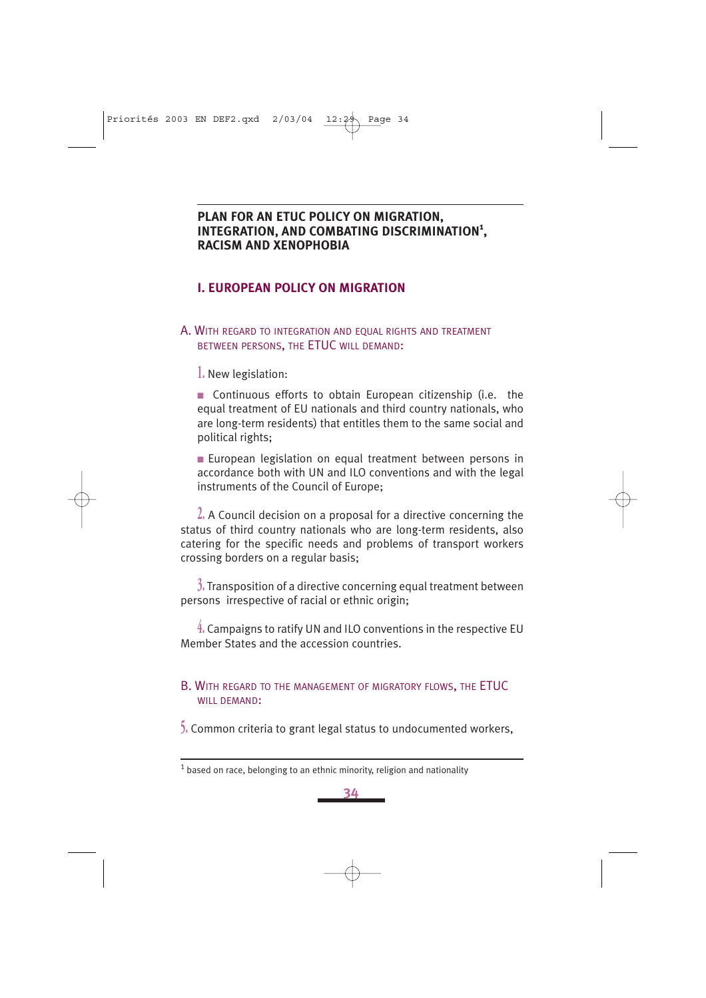### **PLAN FOR AN ETUC POLICY ON MIGRATION, INTEGRATION, AND COMBATING DISCRIMINATION1 , RACISM AND XENOPHOBIA**

### **I. EUROPEAN POLICY ON MIGRATION**

### A. WITH REGARD TO INTEGRATION AND EQUAL RIGHTS AND TREATMENT BETWEEN PERSONS, THE ETUC WILL DEMAND:

**1.** New legislation:

■ Continuous efforts to obtain European citizenship (i.e. the equal treatment of EU nationals and third country nationals, who are long-term residents) that entitles them to the same social and political rights;

■ European legislation on equal treatment between persons in accordance both with UN and ILO conventions and with the legal instruments of the Council of Europe;

**2.** A Council decision on a proposal for a directive concerning the status of third country nationals who are long-term residents, also catering for the specific needs and problems of transport workers crossing borders on a regular basis;

**3.** Transposition of a directive concerning equal treatment between persons irrespective of racial or ethnic origin;

**4.** Campaigns to ratify UN and ILO conventions in the respective EU Member States and the accession countries.

### B. WITH REGARD TO THE MANAGEMENT OF MIGRATORY FLOWS, THE ETUC WILL DEMAND:

**5.** Common criteria to grant legal status to undocumented workers,

**34**

 $1$  based on race, belonging to an ethnic minority, religion and nationality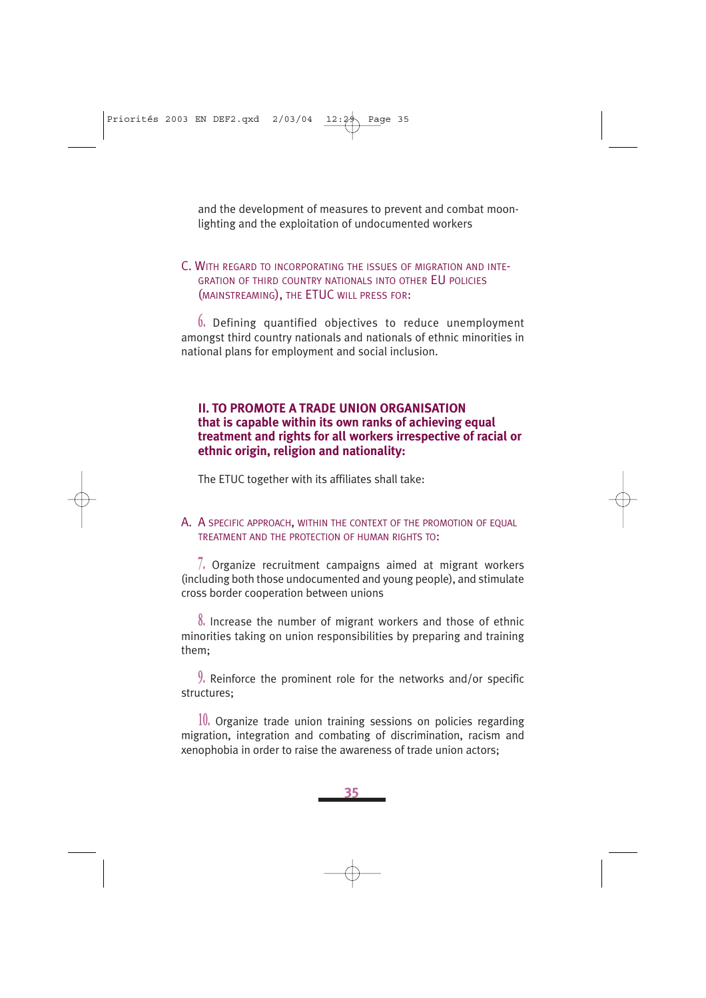and the development of measures to prevent and combat moonlighting and the exploitation of undocumented workers

### C. WITH REGARD TO INCORPORATING THE ISSUES OF MIGRATION AND INTE-**GRATION OF THIRD COUNTRY NATIONALS INTO OTHER EU POLICIES** (MAINSTREAMING), THE ETUC WILL PRESS FOR:

**6.** Defining quantified objectives to reduce unemployment amongst third country nationals and nationals of ethnic minorities in national plans for employment and social inclusion.

### **II. TO PROMOTE A TRADE UNION ORGANISATION that is capable within its own ranks of achieving equal treatment and rights for all workers irrespective of racial or ethnic origin, religion and nationality:**

The ETUC together with its affiliates shall take:

### A. A SPECIFIC APPROACH, WITHIN THE CONTEXT OF THE PROMOTION OF EQUAL TREATMENT AND THE PROTECTION OF HUMAN RIGHTS TO:

**7.** Organize recruitment campaigns aimed at migrant workers (including both those undocumented and young people), and stimulate cross border cooperation between unions

**8.** Increase the number of migrant workers and those of ethnic minorities taking on union responsibilities by preparing and training them;

**9.** Reinforce the prominent role for the networks and/or specific structures;

**10.** Organize trade union training sessions on policies regarding migration, integration and combating of discrimination, racism and xenophobia in order to raise the awareness of trade union actors;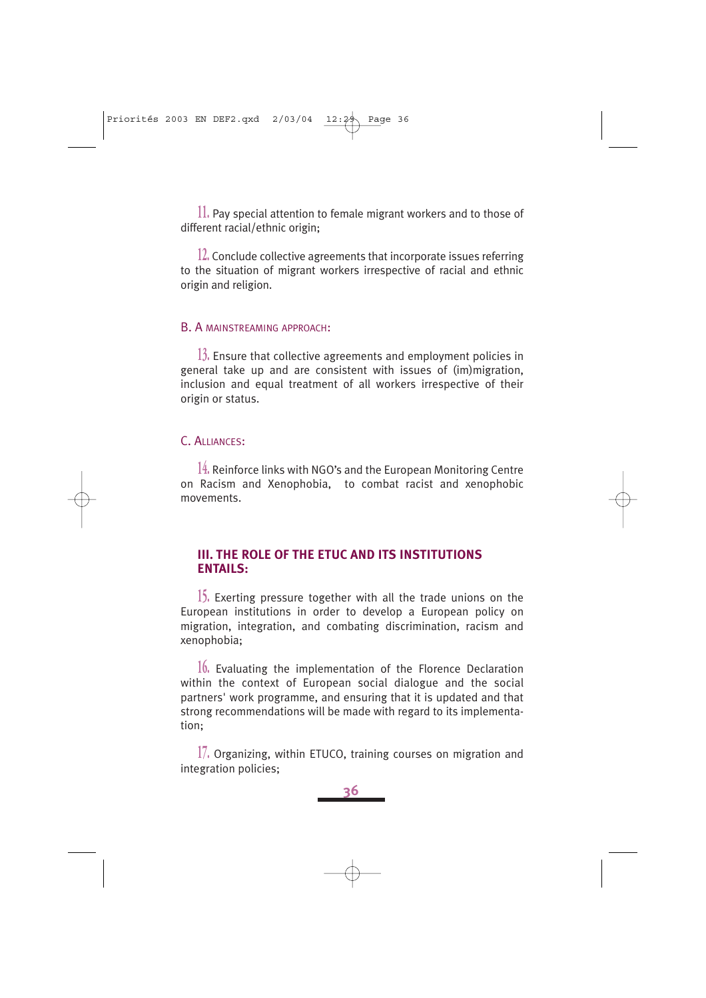**11.** Pay special attention to female migrant workers and to those of different racial/ethnic origin;

**12.** Conclude collective agreements that incorporate issues referring to the situation of migrant workers irrespective of racial and ethnic origin and religion.

#### B. A MAINSTREAMING APPROACH:

**13.** Ensure that collective agreements and employment policies in general take up and are consistent with issues of (im)migration, inclusion and equal treatment of all workers irrespective of their origin or status.

### C. ALLIANCES:

**14.** Reinforce links with NGO's and the European Monitoring Centre on Racism and Xenophobia, to combat racist and xenophobic movements.

### **III. THE ROLE OF THE ETUC AND ITS INSTITUTIONS ENTAILS:**

**15.** Exerting pressure together with all the trade unions on the European institutions in order to develop a European policy on migration, integration, and combating discrimination, racism and xenophobia;

**16.** Evaluating the implementation of the Florence Declaration within the context of European social dialogue and the social partners' work programme, and ensuring that it is updated and that strong recommendations will be made with regard to its implementation;

**17.** Organizing, within ETUCO, training courses on migration and integration policies;

**36**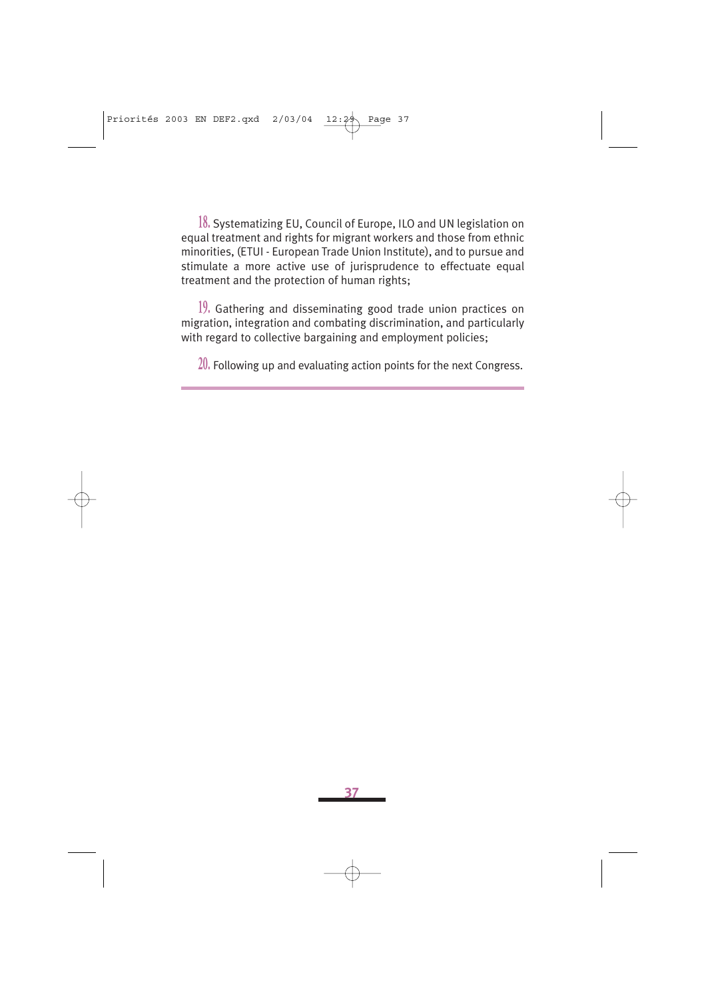**18.** Systematizing EU, Council of Europe, ILO and UN legislation on equal treatment and rights for migrant workers and those from ethnic minorities, (ETUI - European Trade Union Institute), and to pursue and stimulate a more active use of jurisprudence to effectuate equal treatment and the protection of human rights;

**19.** Gathering and disseminating good trade union practices on migration, integration and combating discrimination, and particularly with regard to collective bargaining and employment policies;

**20.** Following up and evaluating action points for the next Congress.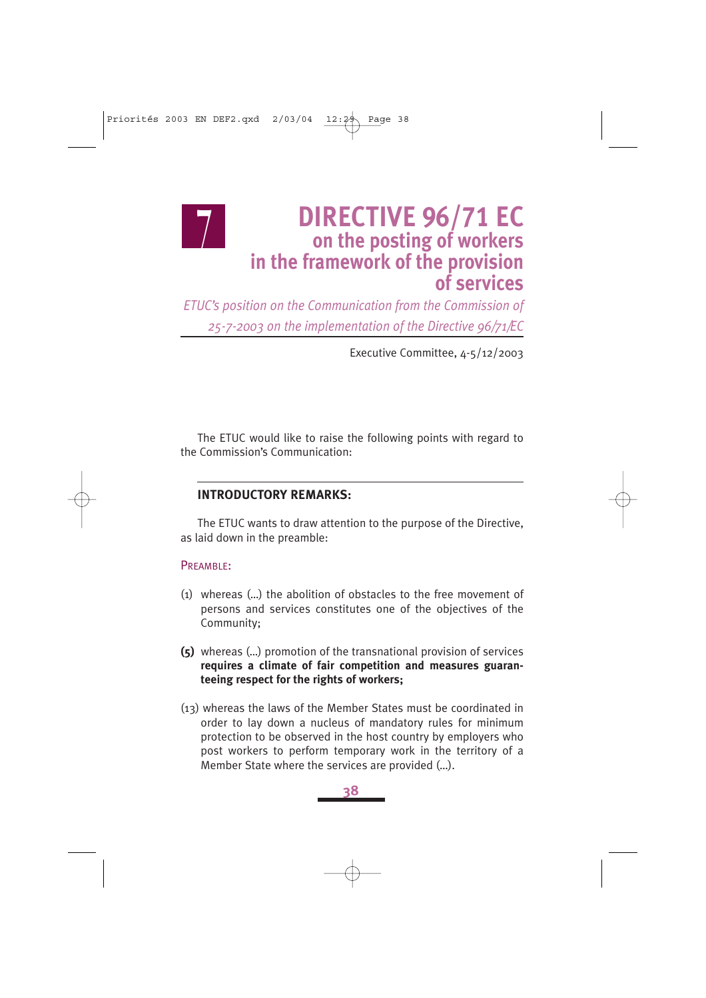### **DIRECTIVE 96/71 EC on the posting of workers in the framework of the provision of services**

*ETUC's position on the Communication from the Commission of 25-7-2003 on the implementation of the Directive 96/71/EC*

Executive Committee, 4-5/12/2003

The ETUC would like to raise the following points with regard to the Commission's Communication:

### **INTRODUCTORY REMARKS:**

The ETUC wants to draw attention to the purpose of the Directive, as laid down in the preamble:

#### PREAMBLE:

 $\frac{1}{2}$ 

- (1) whereas (…) the abolition of obstacles to the free movement of persons and services constitutes one of the objectives of the Community;
- **(5)** whereas (…) promotion of the transnational provision of services **requires a climate of fair competition and measures guaranteeing respect for the rights of workers;**
- (13) whereas the laws of the Member States must be coordinated in order to lay down a nucleus of mandatory rules for minimum protection to be observed in the host country by employers who post workers to perform temporary work in the territory of a Member State where the services are provided (…).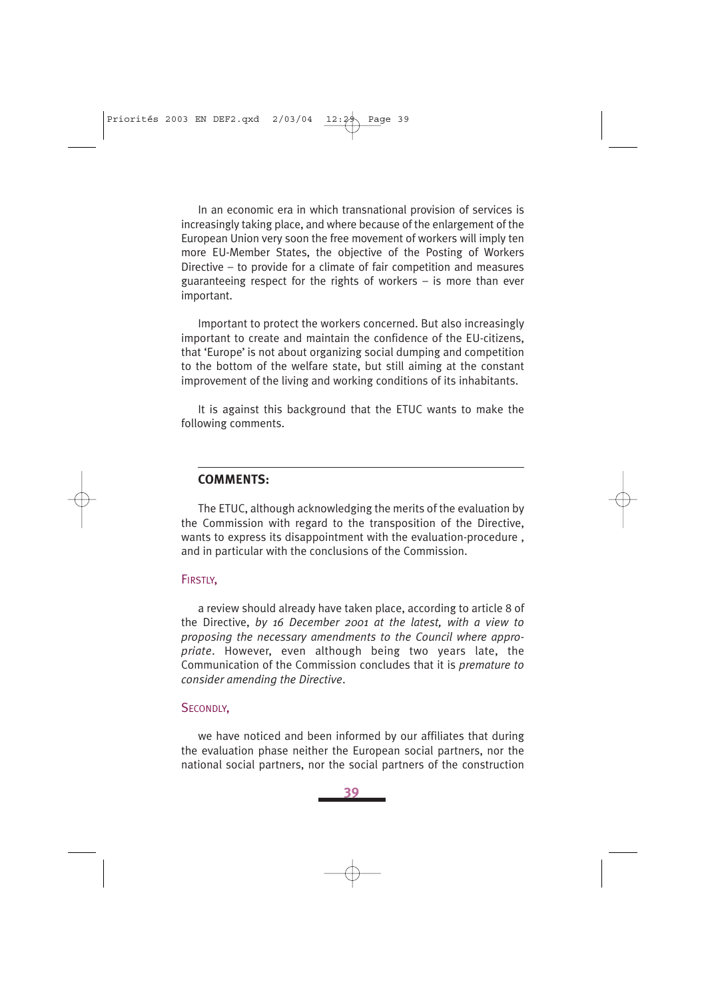In an economic era in which transnational provision of services is increasingly taking place, and where because of the enlargement of the European Union very soon the free movement of workers will imply ten more EU-Member States, the objective of the Posting of Workers Directive – to provide for a climate of fair competition and measures guaranteeing respect for the rights of workers – is more than ever important.

Important to protect the workers concerned. But also increasingly important to create and maintain the confidence of the EU-citizens, that 'Europe' is not about organizing social dumping and competition to the bottom of the welfare state, but still aiming at the constant improvement of the living and working conditions of its inhabitants.

It is against this background that the ETUC wants to make the following comments.

### **COMMENTS:**

The ETUC, although acknowledging the merits of the evaluation by the Commission with regard to the transposition of the Directive, wants to express its disappointment with the evaluation-procedure , and in particular with the conclusions of the Commission.

### FIRSTLY,

a review should already have taken place, according to article 8 of the Directive, *by 16 December 2001 at the latest, with a view to proposing the necessary amendments to the Council where appropriate*. However, even although being two years late, the Communication of the Commission concludes that it is *premature to consider amending the Directive*.

### SECONDLY,

we have noticed and been informed by our affiliates that during the evaluation phase neither the European social partners, nor the national social partners, nor the social partners of the construction

**39**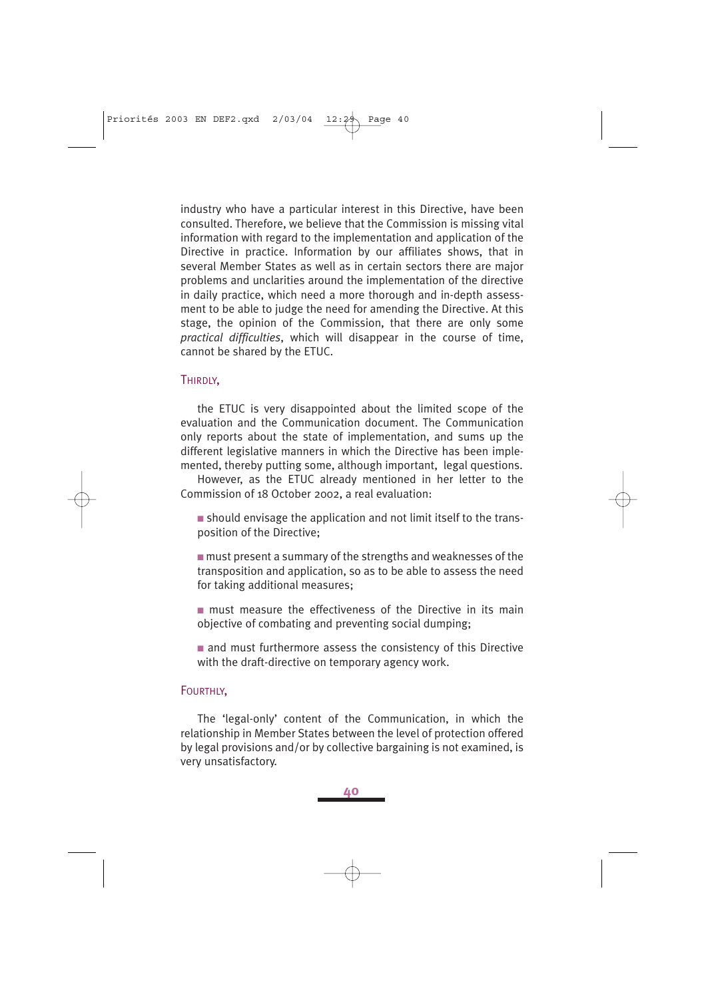industry who have a particular interest in this Directive, have been consulted. Therefore, we believe that the Commission is missing vital information with regard to the implementation and application of the Directive in practice. Information by our affiliates shows, that in several Member States as well as in certain sectors there are major problems and unclarities around the implementation of the directive in daily practice, which need a more thorough and in-depth assessment to be able to judge the need for amending the Directive. At this stage, the opinion of the Commission, that there are only some *practical difficulties*, which will disappear in the course of time, cannot be shared by the ETUC.

### THIRDLY,

the ETUC is very disappointed about the limited scope of the evaluation and the Communication document. The Communication only reports about the state of implementation, and sums up the different legislative manners in which the Directive has been implemented, thereby putting some, although important, legal questions.

However, as the ETUC already mentioned in her letter to the Commission of 18 October 2002, a real evaluation:

■ should envisage the application and not limit itself to the transposition of the Directive;

 $\blacksquare$  must present a summary of the strengths and weaknesses of the transposition and application, so as to be able to assess the need for taking additional measures;

■ must measure the effectiveness of the Directive in its main objective of combating and preventing social dumping;

■ and must furthermore assess the consistency of this Directive with the draft-directive on temporary agency work.

#### FOURTHLY,

The 'legal-only' content of the Communication, in which the relationship in Member States between the level of protection offered by legal provisions and/or by collective bargaining is not examined, is very unsatisfactory.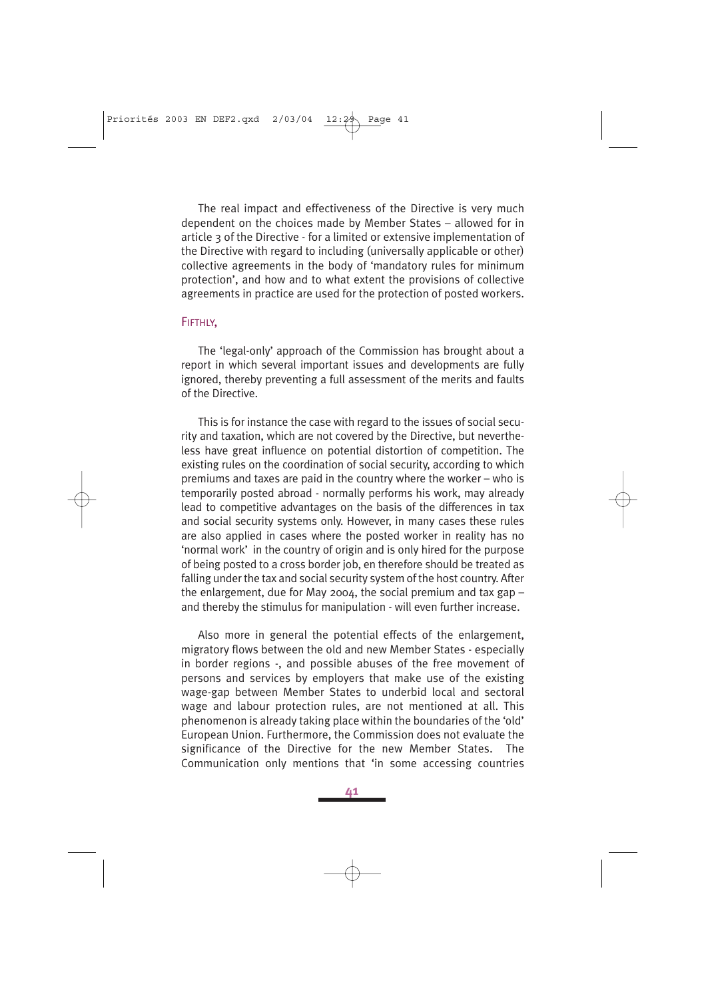The real impact and effectiveness of the Directive is very much dependent on the choices made by Member States – allowed for in article 3 of the Directive - for a limited or extensive implementation of the Directive with regard to including (universally applicable or other) collective agreements in the body of 'mandatory rules for minimum protection', and how and to what extent the provisions of collective agreements in practice are used for the protection of posted workers.

#### FIFTHLY,

The 'legal-only' approach of the Commission has brought about a report in which several important issues and developments are fully ignored, thereby preventing a full assessment of the merits and faults of the Directive.

This is for instance the case with regard to the issues of social security and taxation, which are not covered by the Directive, but nevertheless have great influence on potential distortion of competition. The existing rules on the coordination of social security, according to which premiums and taxes are paid in the country where the worker – who is temporarily posted abroad - normally performs his work, may already lead to competitive advantages on the basis of the differences in tax and social security systems only. However, in many cases these rules are also applied in cases where the posted worker in reality has no 'normal work' in the country of origin and is only hired for the purpose of being posted to a cross border job, en therefore should be treated as falling under the tax and social security system of the host country. After the enlargement, due for May 2004, the social premium and tax gap  $$ and thereby the stimulus for manipulation - will even further increase.

Also more in general the potential effects of the enlargement, migratory flows between the old and new Member States - especially in border regions -, and possible abuses of the free movement of persons and services by employers that make use of the existing wage-gap between Member States to underbid local and sectoral wage and labour protection rules, are not mentioned at all. This phenomenon is already taking place within the boundaries of the 'old' European Union. Furthermore, the Commission does not evaluate the significance of the Directive for the new Member States. The Communication only mentions that 'in some accessing countries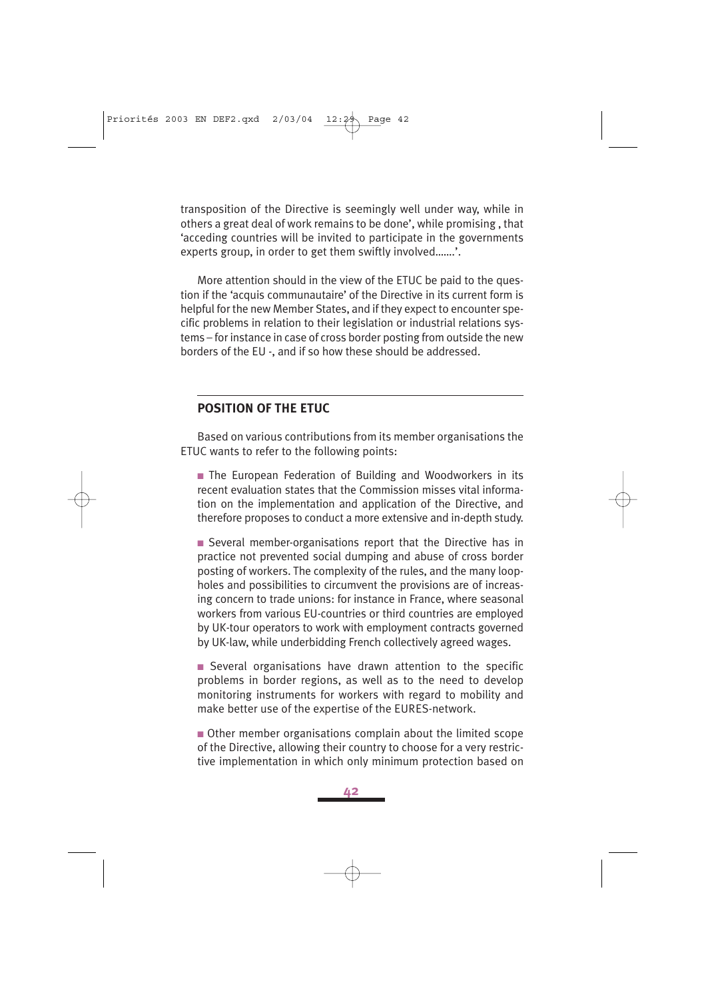transposition of the Directive is seemingly well under way, while in others a great deal of work remains to be done', while promising , that 'acceding countries will be invited to participate in the governments experts group, in order to get them swiftly involved…….'.

More attention should in the view of the ETUC be paid to the question if the 'acquis communautaire' of the Directive in its current form is helpful for the new Member States, and if they expect to encounter specific problems in relation to their legislation or industrial relations systems – for instance in case of cross border posting from outside the new borders of the EU -, and if so how these should be addressed.

### **POSITION OF THE ETUC**

Based on various contributions from its member organisations the ETUC wants to refer to the following points:

■ The European Federation of Building and Woodworkers in its recent evaluation states that the Commission misses vital information on the implementation and application of the Directive, and therefore proposes to conduct a more extensive and in-depth study.

■ Several member-organisations report that the Directive has in practice not prevented social dumping and abuse of cross border posting of workers. The complexity of the rules, and the many loopholes and possibilities to circumvent the provisions are of increasing concern to trade unions: for instance in France, where seasonal workers from various EU-countries or third countries are employed by UK-tour operators to work with employment contracts governed by UK-law, while underbidding French collectively agreed wages.

■ Several organisations have drawn attention to the specific problems in border regions, as well as to the need to develop monitoring instruments for workers with regard to mobility and make better use of the expertise of the EURES-network.

■ Other member organisations complain about the limited scope of the Directive, allowing their country to choose for a very restrictive implementation in which only minimum protection based on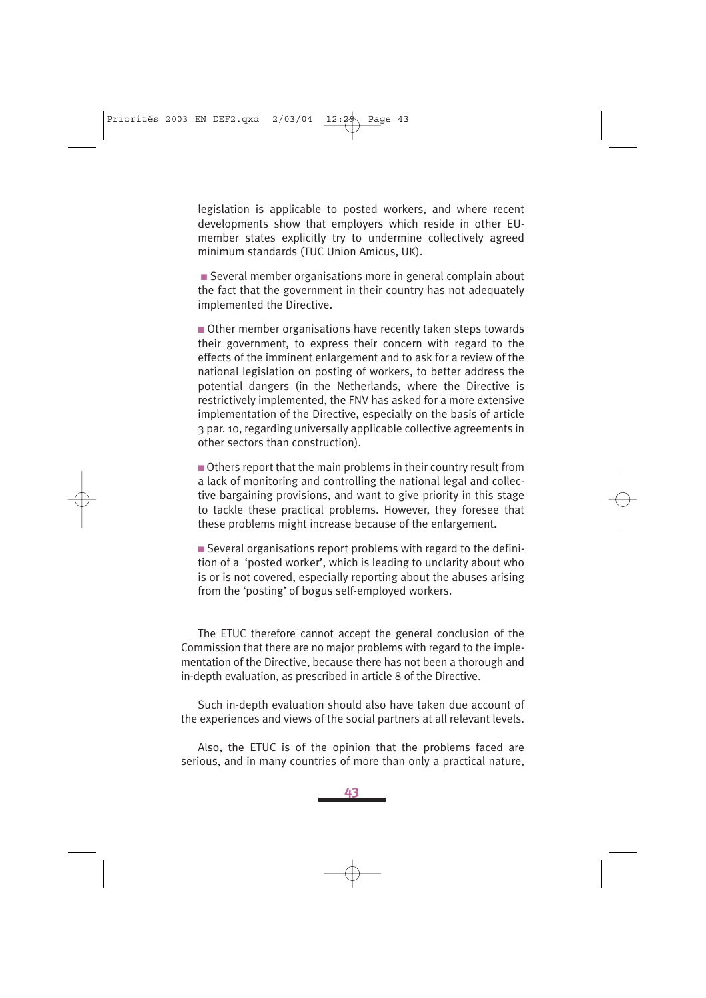legislation is applicable to posted workers, and where recent developments show that employers which reside in other EUmember states explicitly try to undermine collectively agreed minimum standards (TUC Union Amicus, UK).

■ Several member organisations more in general complain about the fact that the government in their country has not adequately implemented the Directive.

■ Other member organisations have recently taken steps towards their government, to express their concern with regard to the effects of the imminent enlargement and to ask for a review of the national legislation on posting of workers, to better address the potential dangers (in the Netherlands, where the Directive is restrictively implemented, the FNV has asked for a more extensive implementation of the Directive, especially on the basis of article 3 par. 10, regarding universally applicable collective agreements in other sectors than construction).

■ Others report that the main problems in their country result from a lack of monitoring and controlling the national legal and collective bargaining provisions, and want to give priority in this stage to tackle these practical problems. However, they foresee that these problems might increase because of the enlargement.

■ Several organisations report problems with regard to the definition of a 'posted worker', which is leading to unclarity about who is or is not covered, especially reporting about the abuses arising from the 'posting' of bogus self-employed workers.

The ETUC therefore cannot accept the general conclusion of the Commission that there are no major problems with regard to the implementation of the Directive, because there has not been a thorough and in-depth evaluation, as prescribed in article 8 of the Directive.

Such in-depth evaluation should also have taken due account of the experiences and views of the social partners at all relevant levels.

Also, the ETUC is of the opinion that the problems faced are serious, and in many countries of more than only a practical nature,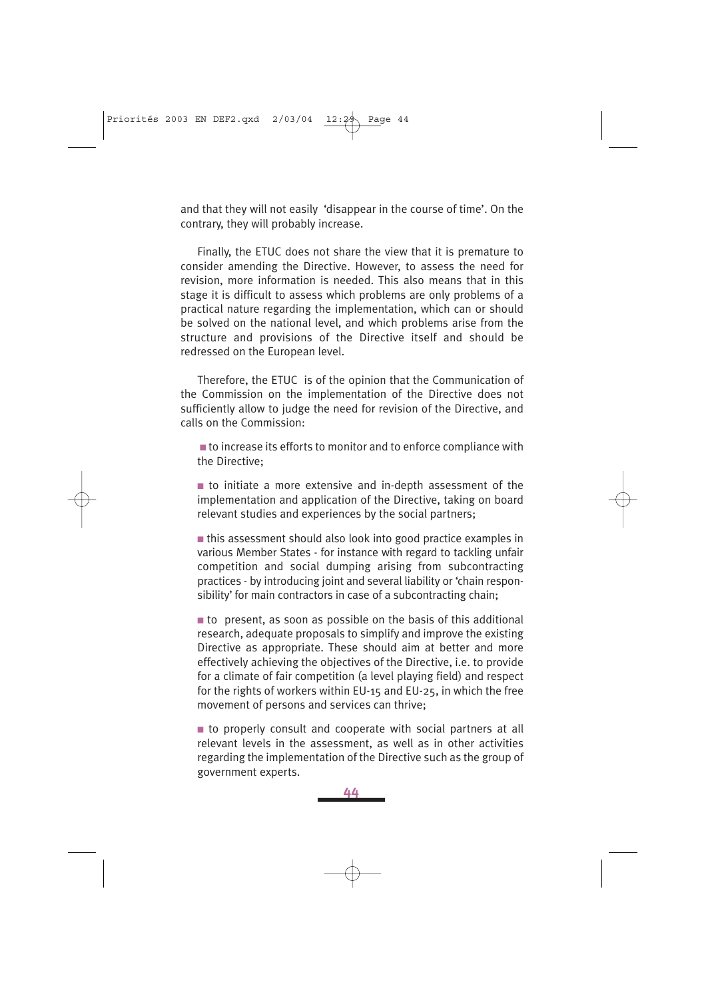and that they will not easily 'disappear in the course of time'. On the contrary, they will probably increase.

Finally, the ETUC does not share the view that it is premature to consider amending the Directive. However, to assess the need for revision, more information is needed. This also means that in this stage it is difficult to assess which problems are only problems of a practical nature regarding the implementation, which can or should be solved on the national level, and which problems arise from the structure and provisions of the Directive itself and should be redressed on the European level.

Therefore, the ETUC is of the opinion that the Communication of the Commission on the implementation of the Directive does not sufficiently allow to judge the need for revision of the Directive, and calls on the Commission:

■ to increase its efforts to monitor and to enforce compliance with the Directive;

■ to initiate a more extensive and in-depth assessment of the implementation and application of the Directive, taking on board relevant studies and experiences by the social partners;

■ this assessment should also look into good practice examples in various Member States - for instance with regard to tackling unfair competition and social dumping arising from subcontracting practices - by introducing joint and several liability or 'chain responsibility' for main contractors in case of a subcontracting chain;

 $\blacksquare$  to present, as soon as possible on the basis of this additional research, adequate proposals to simplify and improve the existing Directive as appropriate. These should aim at better and more effectively achieving the objectives of the Directive, i.e. to provide for a climate of fair competition (a level playing field) and respect for the rights of workers within EU-15 and EU-25, in which the free movement of persons and services can thrive;

■ to properly consult and cooperate with social partners at all relevant levels in the assessment, as well as in other activities regarding the implementation of the Directive such as the group of government experts.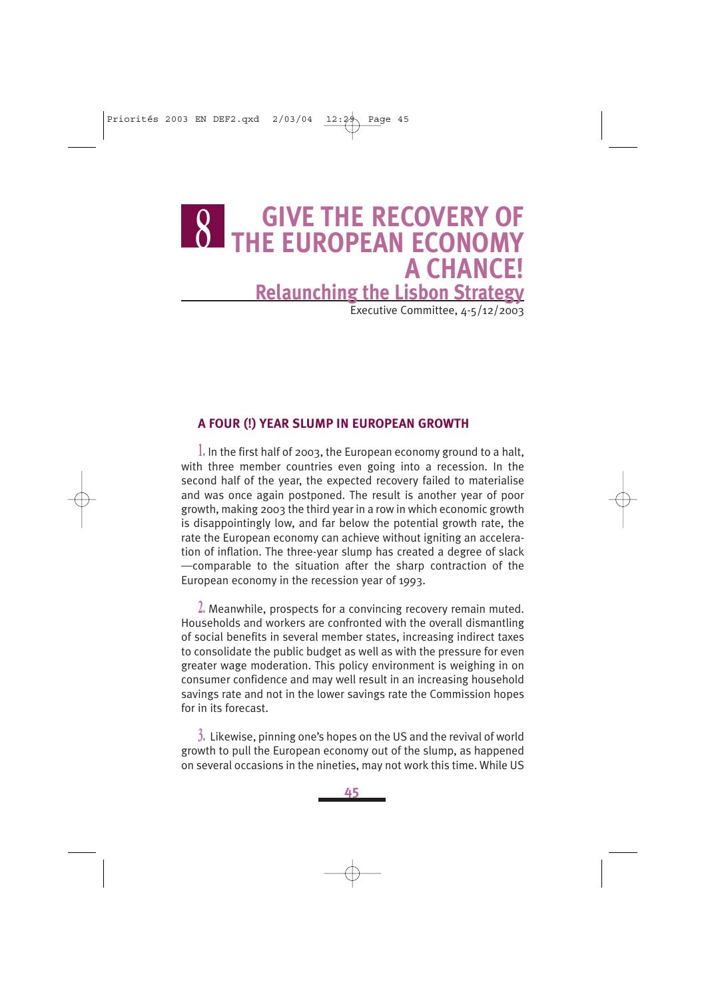### **GIVE THE RECOVERY OF O THE EUROPEAN ECONOMY A CHANCE! Relaunching the Lisbon Strategy** Executive Committee, 4-5/12/2003

### **A FOUR (!) YEAR SLUMP IN EUROPEAN GROWTH**

**1.** In the first half of 2003, the European economy ground to a halt, with three member countries even going into a recession. In the second half of the year, the expected recovery failed to materialise and was once again postponed. The result is another year of poor growth, making 2003 the third year in a row in which economic growth is disappointingly low, and far below the potential growth rate, the rate the European economy can achieve without igniting an acceleration of inflation. The three-year slump has created a degree of slack ––comparable to the situation after the sharp contraction of the European economy in the recession year of 1993.

**2.** Meanwhile, prospects for a convincing recovery remain muted. Households and workers are confronted with the overall dismantling of social benefits in several member states, increasing indirect taxes to consolidate the public budget as well as with the pressure for even greater wage moderation. This policy environment is weighing in on consumer confidence and may well result in an increasing household savings rate and not in the lower savings rate the Commission hopes for in its forecast.

**3.** Likewise, pinning one's hopes on the US and the revival of world growth to pull the European economy out of the slump, as happened on several occasions in the nineties, may not work this time. While US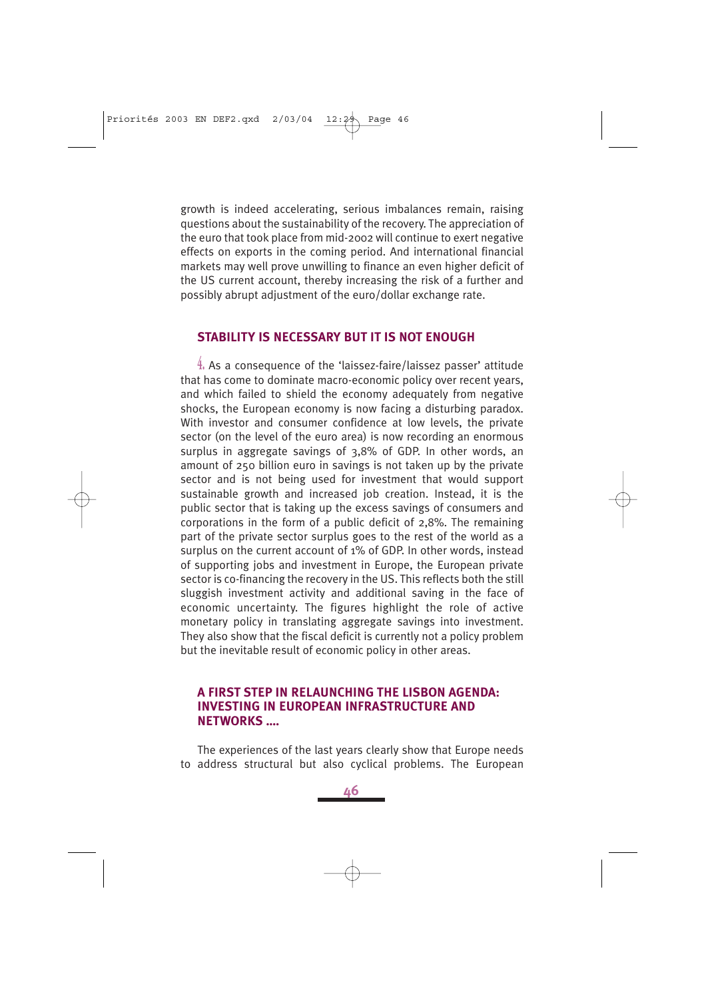growth is indeed accelerating, serious imbalances remain, raising questions about the sustainability of the recovery. The appreciation of the euro that took place from mid-2002 will continue to exert negative effects on exports in the coming period. And international financial markets may well prove unwilling to finance an even higher deficit of the US current account, thereby increasing the risk of a further and possibly abrupt adjustment of the euro/dollar exchange rate.

#### **STABILITY IS NECESSARY BUT IT IS NOT ENOUGH**

**4.** As a consequence of the 'laissez-faire/laissez passer' attitude that has come to dominate macro-economic policy over recent years, and which failed to shield the economy adequately from negative shocks, the European economy is now facing a disturbing paradox. With investor and consumer confidence at low levels, the private sector (on the level of the euro area) is now recording an enormous surplus in aggregate savings of 3,8% of GDP. In other words, an amount of 250 billion euro in savings is not taken up by the private sector and is not being used for investment that would support sustainable growth and increased job creation. Instead, it is the public sector that is taking up the excess savings of consumers and corporations in the form of a public deficit of 2,8%. The remaining part of the private sector surplus goes to the rest of the world as a surplus on the current account of 1% of GDP. In other words, instead of supporting jobs and investment in Europe, the European private sector is co-financing the recovery in the US. This reflects both the still sluggish investment activity and additional saving in the face of economic uncertainty. The figures highlight the role of active monetary policy in translating aggregate savings into investment. They also show that the fiscal deficit is currently not a policy problem but the inevitable result of economic policy in other areas.

#### **A FIRST STEP IN RELAUNCHING THE LISBON AGENDA: INVESTING IN EUROPEAN INFRASTRUCTURE AND NETWORKS ….**

The experiences of the last years clearly show that Europe needs to address structural but also cyclical problems. The European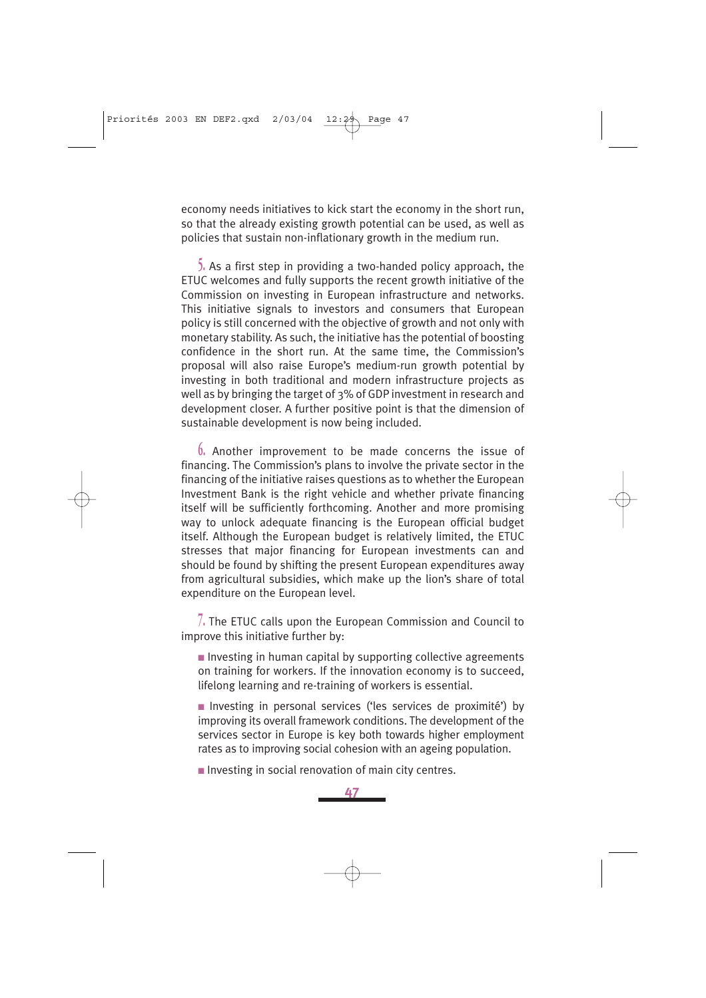economy needs initiatives to kick start the economy in the short run, so that the already existing growth potential can be used, as well as policies that sustain non-inflationary growth in the medium run.

**5.** As a first step in providing a two-handed policy approach, the ETUC welcomes and fully supports the recent growth initiative of the Commission on investing in European infrastructure and networks. This initiative signals to investors and consumers that European policy is still concerned with the objective of growth and not only with monetary stability. As such, the initiative has the potential of boosting confidence in the short run. At the same time, the Commission's proposal will also raise Europe's medium-run growth potential by investing in both traditional and modern infrastructure projects as well as by bringing the target of 3% of GDP investment in research and development closer. A further positive point is that the dimension of sustainable development is now being included.

**6.** Another improvement to be made concerns the issue of financing. The Commission's plans to involve the private sector in the financing of the initiative raises questions as to whether the European Investment Bank is the right vehicle and whether private financing itself will be sufficiently forthcoming. Another and more promising way to unlock adequate financing is the European official budget itself. Although the European budget is relatively limited, the ETUC stresses that major financing for European investments can and should be found by shifting the present European expenditures away from agricultural subsidies, which make up the lion's share of total expenditure on the European level.

**7.** The ETUC calls upon the European Commission and Council to improve this initiative further by:

■ Investing in human capital by supporting collective agreements on training for workers. If the innovation economy is to succeed, lifelong learning and re-training of workers is essential.

■ Investing in personal services ('les services de proximité') by improving its overall framework conditions. The development of the services sector in Europe is key both towards higher employment rates as to improving social cohesion with an ageing population.

■ Investing in social renovation of main city centres.

**47**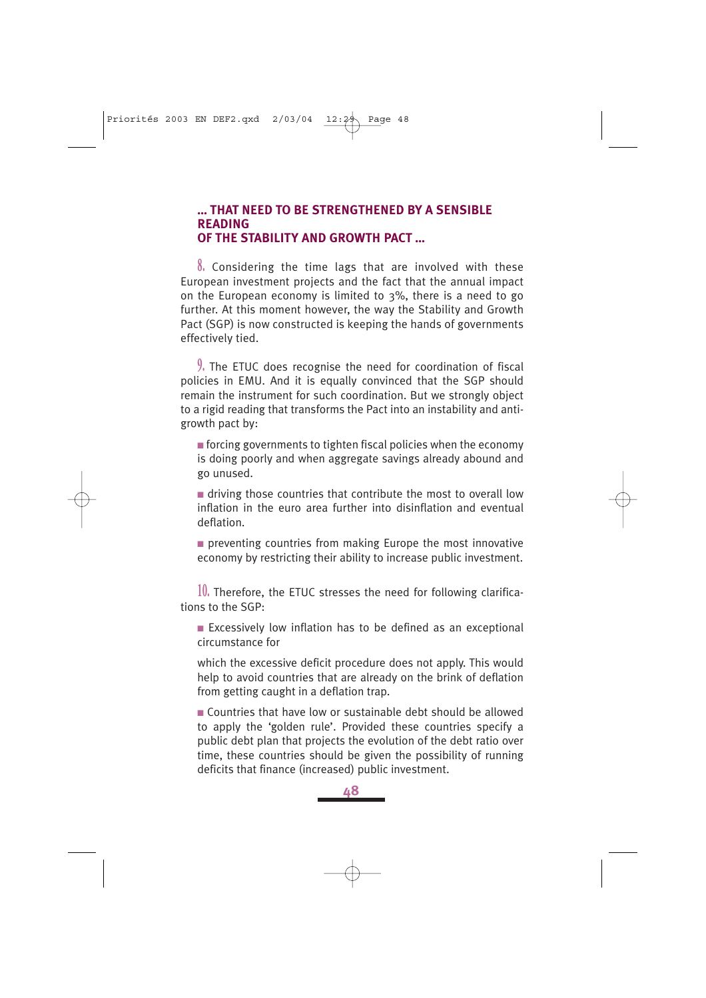### **… THAT NEED TO BE STRENGTHENED BY A SENSIBLE READING OF THE STABILITY AND GROWTH PACT …**

**8.** Considering the time lags that are involved with these European investment projects and the fact that the annual impact on the European economy is limited to 3%, there is a need to go further. At this moment however, the way the Stability and Growth Pact (SGP) is now constructed is keeping the hands of governments effectively tied.

**9.** The ETUC does recognise the need for coordination of fiscal policies in EMU. And it is equally convinced that the SGP should remain the instrument for such coordination. But we strongly object to a rigid reading that transforms the Pact into an instability and antigrowth pact by:

 $\blacksquare$  forcing governments to tighten fiscal policies when the economy is doing poorly and when aggregate savings already abound and go unused.

■ driving those countries that contribute the most to overall low inflation in the euro area further into disinflation and eventual deflation.

■ preventing countries from making Europe the most innovative economy by restricting their ability to increase public investment.

**10.** Therefore, the ETUC stresses the need for following clarifications to the SGP:

■ Excessively low inflation has to be defined as an exceptional circumstance for

which the excessive deficit procedure does not apply. This would help to avoid countries that are already on the brink of deflation from getting caught in a deflation trap.

■ Countries that have low or sustainable debt should be allowed to apply the 'golden rule'. Provided these countries specify a public debt plan that projects the evolution of the debt ratio over time, these countries should be given the possibility of running deficits that finance (increased) public investment.

**48**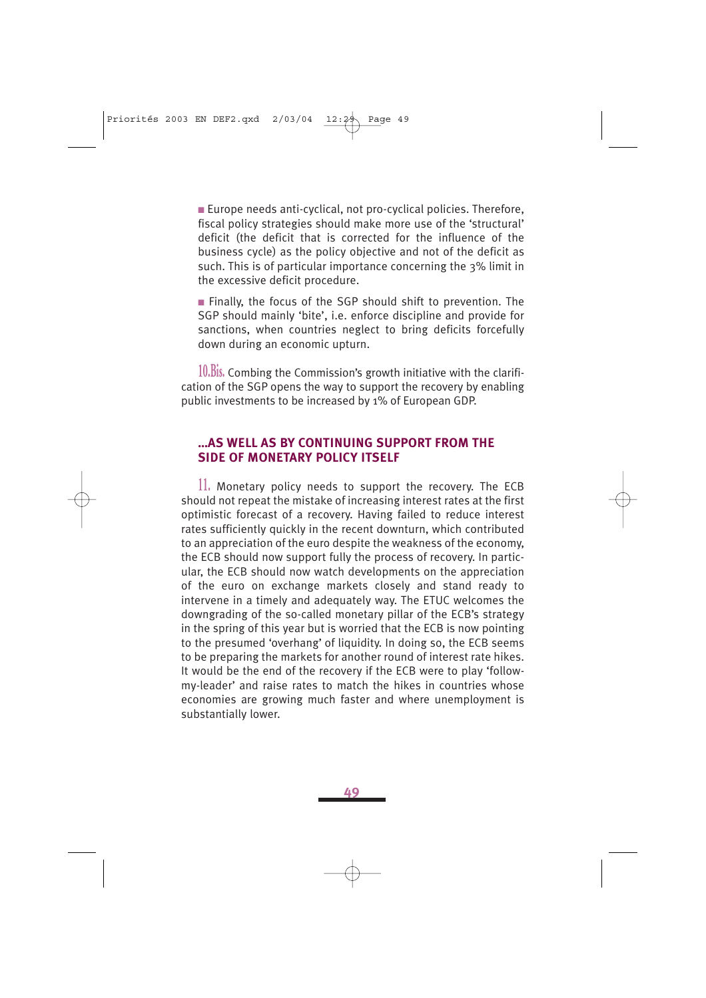■ Europe needs anti-cyclical, not pro-cyclical policies. Therefore, fiscal policy strategies should make more use of the 'structural' deficit (the deficit that is corrected for the influence of the business cycle) as the policy objective and not of the deficit as such. This is of particular importance concerning the 3% limit in the excessive deficit procedure.

■ Finally, the focus of the SGP should shift to prevention. The SGP should mainly 'bite', i.e. enforce discipline and provide for sanctions, when countries neglect to bring deficits forcefully down during an economic upturn.

**10.Bis.** Combing the Commission's growth initiative with the clarification of the SGP opens the way to support the recovery by enabling public investments to be increased by 1% of European GDP.

### **…AS WELL AS BY CONTINUING SUPPORT FROM THE SIDE OF MONETARY POLICY ITSELF**

**11.** Monetary policy needs to support the recovery. The ECB should not repeat the mistake of increasing interest rates at the first optimistic forecast of a recovery. Having failed to reduce interest rates sufficiently quickly in the recent downturn, which contributed to an appreciation of the euro despite the weakness of the economy, the ECB should now support fully the process of recovery. In particular, the ECB should now watch developments on the appreciation of the euro on exchange markets closely and stand ready to intervene in a timely and adequately way. The ETUC welcomes the downgrading of the so-called monetary pillar of the ECB's strategy in the spring of this year but is worried that the ECB is now pointing to the presumed 'overhang' of liquidity. In doing so, the ECB seems to be preparing the markets for another round of interest rate hikes. It would be the end of the recovery if the ECB were to play 'followmy-leader' and raise rates to match the hikes in countries whose economies are growing much faster and where unemployment is substantially lower.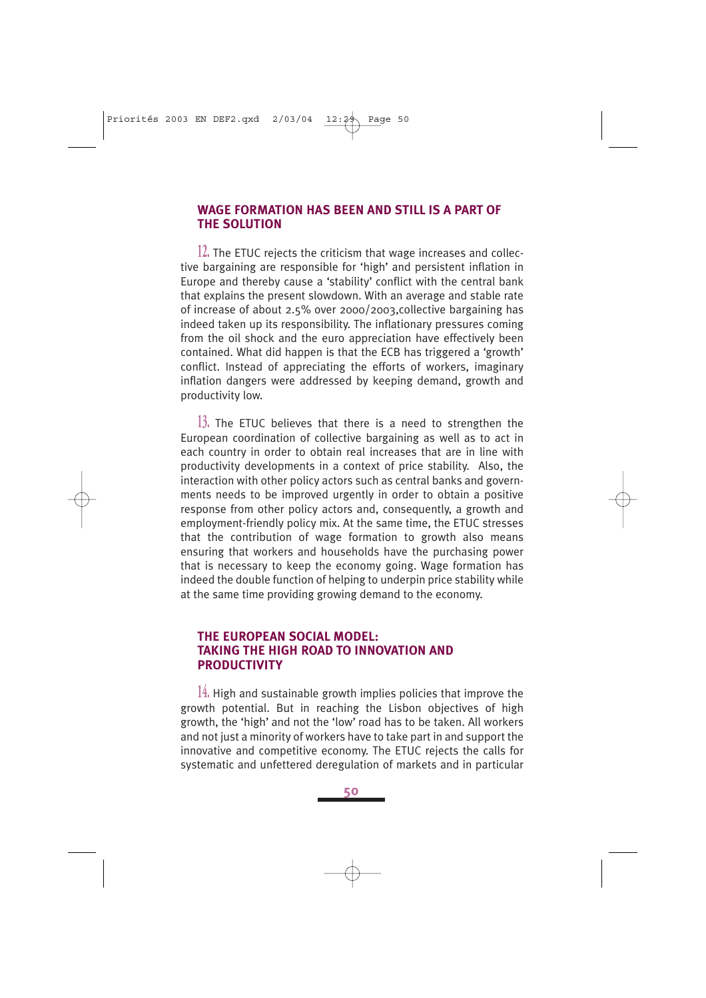### **WAGE FORMATION HAS BEEN AND STILL IS A PART OF THE SOLUTION**

**12.** The ETUC rejects the criticism that wage increases and collective bargaining are responsible for 'high' and persistent inflation in Europe and thereby cause a 'stability' conflict with the central bank that explains the present slowdown. With an average and stable rate of increase of about 2.5% over 2000/2003,collective bargaining has indeed taken up its responsibility. The inflationary pressures coming from the oil shock and the euro appreciation have effectively been contained. What did happen is that the ECB has triggered a 'growth' conflict. Instead of appreciating the efforts of workers, imaginary inflation dangers were addressed by keeping demand, growth and productivity low.

**13.** The ETUC believes that there is a need to strengthen the European coordination of collective bargaining as well as to act in each country in order to obtain real increases that are in line with productivity developments in a context of price stability. Also, the interaction with other policy actors such as central banks and governments needs to be improved urgently in order to obtain a positive response from other policy actors and, consequently, a growth and employment-friendly policy mix. At the same time, the ETUC stresses that the contribution of wage formation to growth also means ensuring that workers and households have the purchasing power that is necessary to keep the economy going. Wage formation has indeed the double function of helping to underpin price stability while at the same time providing growing demand to the economy.

### **THE EUROPEAN SOCIAL MODEL: TAKING THE HIGH ROAD TO INNOVATION AND PRODUCTIVITY**

**14.** High and sustainable growth implies policies that improve the growth potential. But in reaching the Lisbon objectives of high growth, the 'high' and not the 'low' road has to be taken. All workers and not just a minority of workers have to take part in and support the innovative and competitive economy. The ETUC rejects the calls for systematic and unfettered deregulation of markets and in particular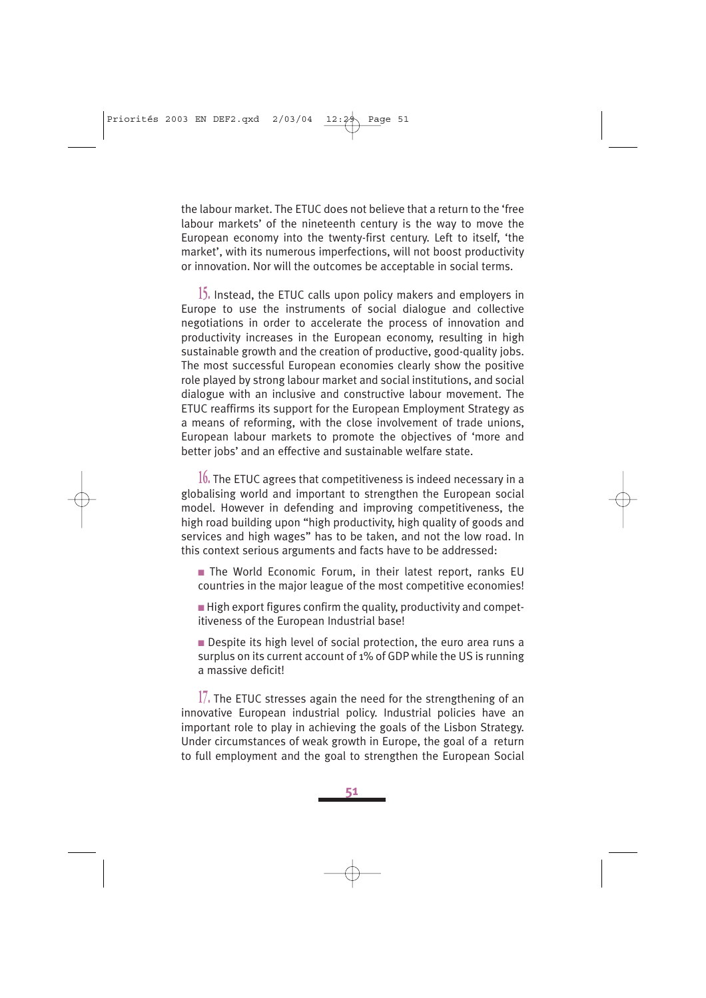the labour market. The ETUC does not believe that a return to the 'free labour markets' of the nineteenth century is the way to move the European economy into the twenty-first century. Left to itself, 'the market', with its numerous imperfections, will not boost productivity or innovation. Nor will the outcomes be acceptable in social terms.

**15.** Instead, the ETUC calls upon policy makers and employers in Europe to use the instruments of social dialogue and collective negotiations in order to accelerate the process of innovation and productivity increases in the European economy, resulting in high sustainable growth and the creation of productive, good-quality jobs. The most successful European economies clearly show the positive role played by strong labour market and social institutions, and social dialogue with an inclusive and constructive labour movement. The ETUC reaffirms its support for the European Employment Strategy as a means of reforming, with the close involvement of trade unions, European labour markets to promote the objectives of 'more and better jobs' and an effective and sustainable welfare state.

**16.** The ETUC agrees that competitiveness is indeed necessary in a globalising world and important to strengthen the European social model. However in defending and improving competitiveness, the high road building upon "high productivity, high quality of goods and services and high wages" has to be taken, and not the low road. In this context serious arguments and facts have to be addressed:

- The World Economic Forum, in their latest report, ranks EU countries in the major league of the most competitive economies!
- $\blacksquare$  High export figures confirm the quality, productivity and competitiveness of the European Industrial base!
- Despite its high level of social protection, the euro area runs a surplus on its current account of 1% of GDP while the US is running a massive deficit!

**17.** The ETUC stresses again the need for the strengthening of an innovative European industrial policy. Industrial policies have an important role to play in achieving the goals of the Lisbon Strategy. Under circumstances of weak growth in Europe, the goal of a return to full employment and the goal to strengthen the European Social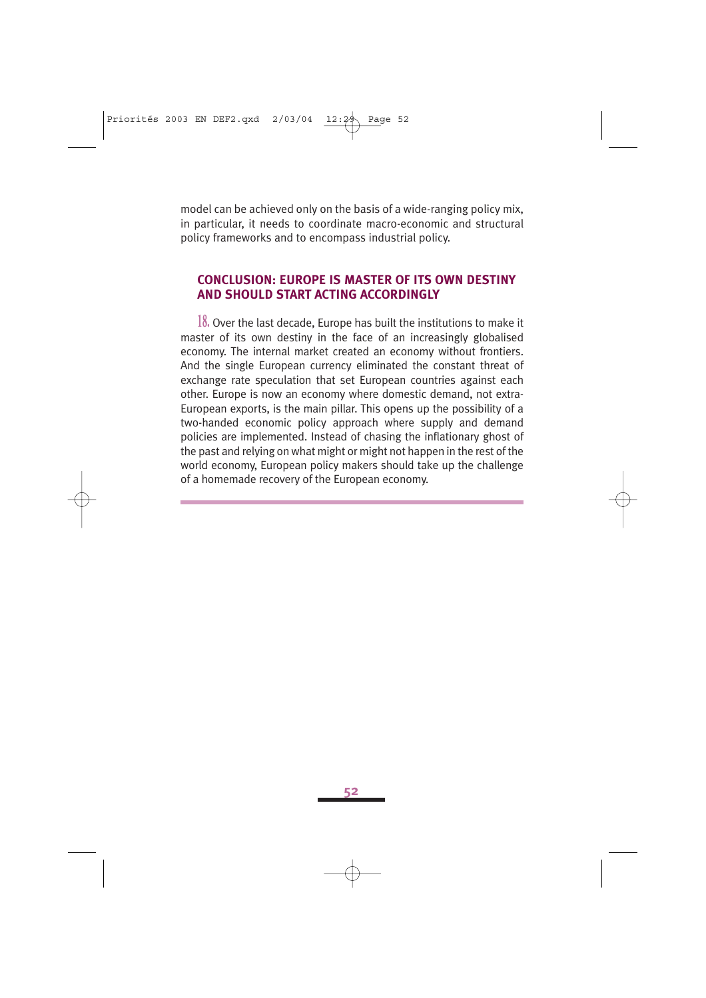model can be achieved only on the basis of a wide-ranging policy mix, in particular, it needs to coordinate macro-economic and structural policy frameworks and to encompass industrial policy.

#### **CONCLUSION: EUROPE IS MASTER OF ITS OWN DESTINY AND SHOULD START ACTING ACCORDINGLY**

**18.** Over the last decade, Europe has built the institutions to make it master of its own destiny in the face of an increasingly globalised economy. The internal market created an economy without frontiers. And the single European currency eliminated the constant threat of exchange rate speculation that set European countries against each other. Europe is now an economy where domestic demand, not extra-European exports, is the main pillar. This opens up the possibility of a two-handed economic policy approach where supply and demand policies are implemented. Instead of chasing the inflationary ghost of the past and relying on what might or might not happen in the rest of the world economy, European policy makers should take up the challenge of a homemade recovery of the European economy.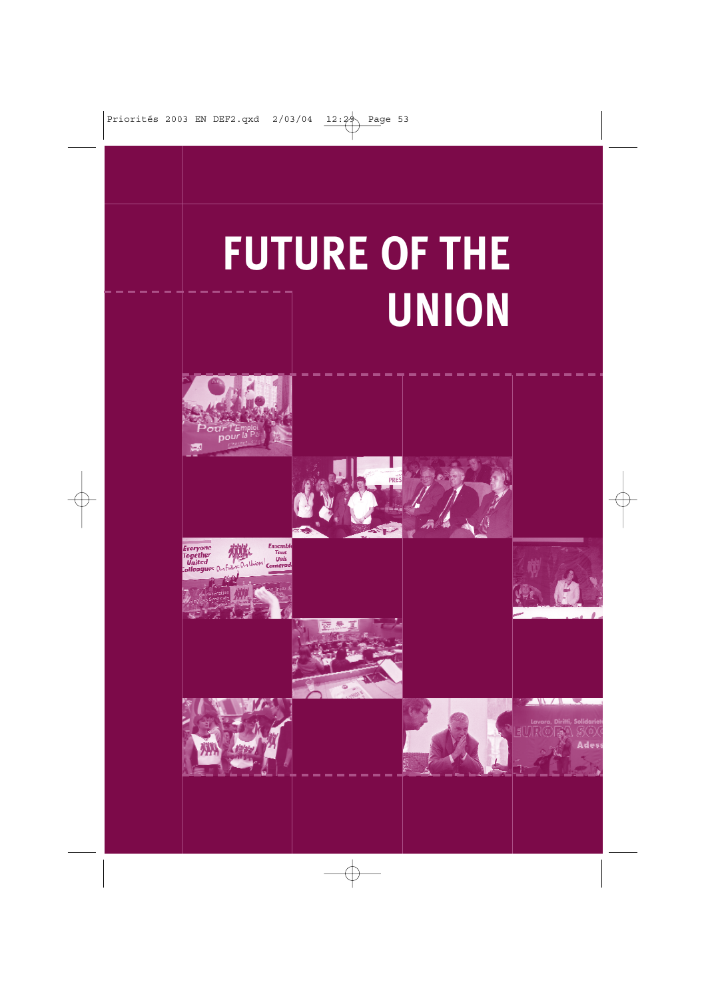# **FUTURE OF THE UNION**

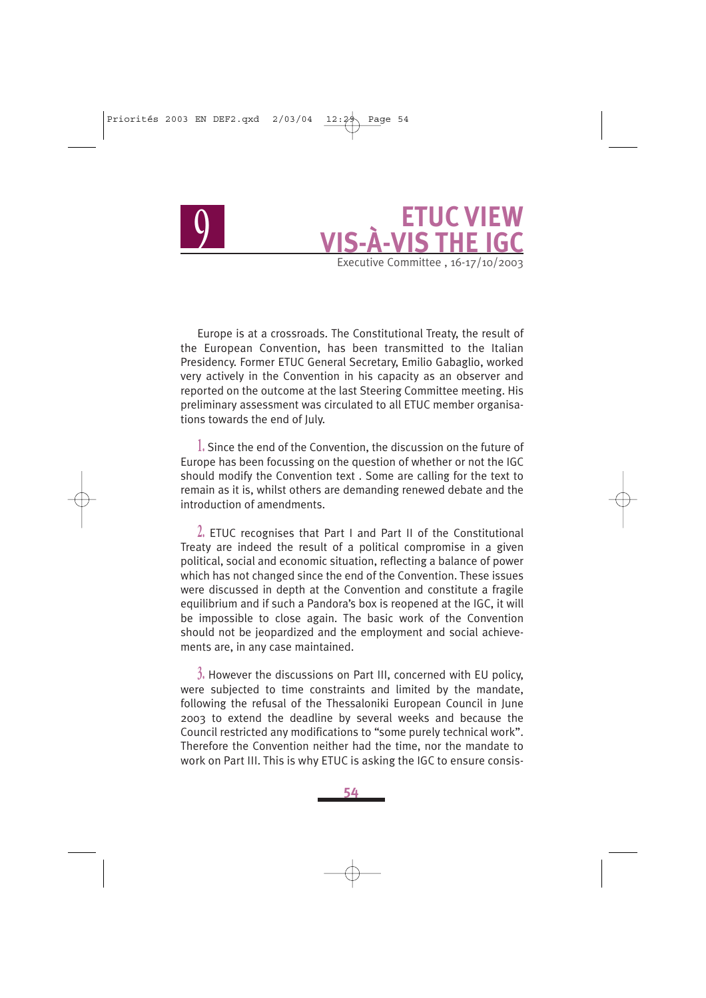## **ETUC VIEW<br>VIS THE IGC** Executive Committee . 16-17/10/2003

Europe is at a crossroads. The Constitutional Treaty, the result of the European Convention, has been transmitted to the Italian Presidency. Former ETUC General Secretary, Emilio Gabaglio, worked very actively in the Convention in his capacity as an observer and reported on the outcome at the last Steering Committee meeting. His preliminary assessment was circulated to all ETUC member organisations towards the end of July.

**1.** Since the end of the Convention, the discussion on the future of Europe has been focussing on the question of whether or not the IGC should modify the Convention text . Some are calling for the text to remain as it is, whilst others are demanding renewed debate and the introduction of amendments.

**2.** ETUC recognises that Part I and Part II of the Constitutional Treaty are indeed the result of a political compromise in a given political, social and economic situation, reflecting a balance of power which has not changed since the end of the Convention. These issues were discussed in depth at the Convention and constitute a fragile equilibrium and if such a Pandora's box is reopened at the IGC, it will be impossible to close again. The basic work of the Convention should not be jeopardized and the employment and social achievements are, in any case maintained.

**3.** However the discussions on Part III, concerned with EU policy, were subjected to time constraints and limited by the mandate, following the refusal of the Thessaloniki European Council in June 2003 to extend the deadline by several weeks and because the Council restricted any modifications to "some purely technical work". Therefore the Convention neither had the time, nor the mandate to work on Part III. This is why ETUC is asking the IGC to ensure consis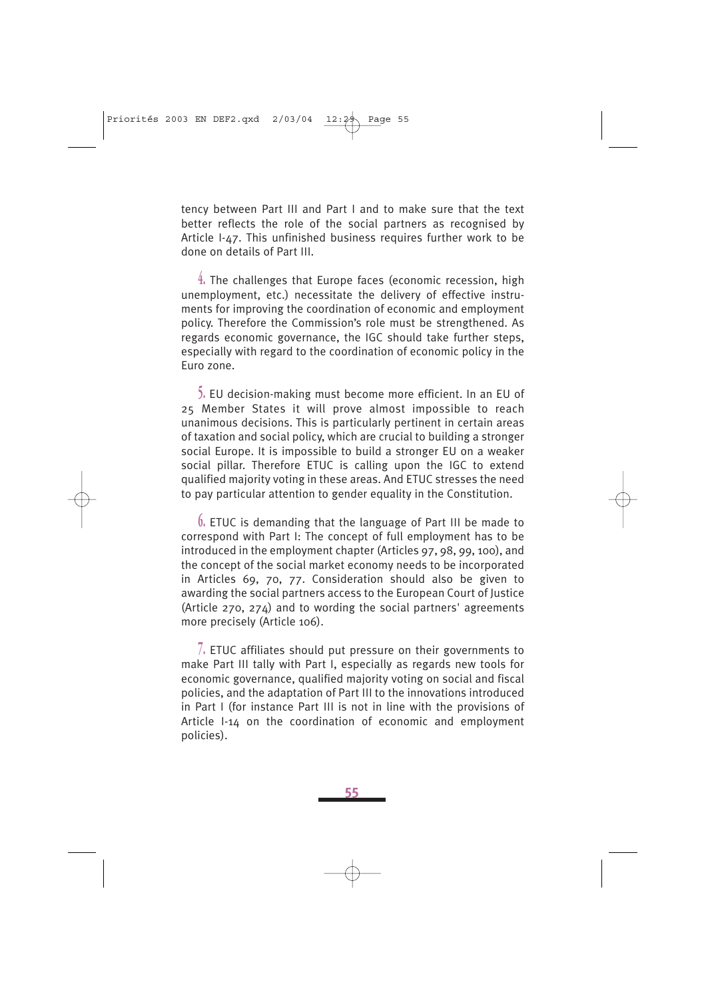tency between Part III and Part I and to make sure that the text better reflects the role of the social partners as recognised by Article I-47. This unfinished business requires further work to be done on details of Part III.

**4.** The challenges that Europe faces (economic recession, high unemployment, etc.) necessitate the delivery of effective instruments for improving the coordination of economic and employment policy. Therefore the Commission's role must be strengthened. As regards economic governance, the IGC should take further steps, especially with regard to the coordination of economic policy in the Euro zone.

**5.** EU decision-making must become more efficient. In an EU of 25 Member States it will prove almost impossible to reach unanimous decisions. This is particularly pertinent in certain areas of taxation and social policy, which are crucial to building a stronger social Europe. It is impossible to build a stronger EU on a weaker social pillar. Therefore ETUC is calling upon the IGC to extend qualified majority voting in these areas. And ETUC stresses the need to pay particular attention to gender equality in the Constitution.

**6.** ETUC is demanding that the language of Part III be made to correspond with Part I: The concept of full employment has to be introduced in the employment chapter (Articles 97, 98, 99, 100), and the concept of the social market economy needs to be incorporated in Articles 69, 70, 77. Consideration should also be given to awarding the social partners access to the European Court of Justice (Article 270, 274) and to wording the social partners' agreements more precisely (Article 106).

**7.** ETUC affiliates should put pressure on their governments to make Part III tally with Part I, especially as regards new tools for economic governance, qualified majority voting on social and fiscal policies, and the adaptation of Part III to the innovations introduced in Part I (for instance Part III is not in line with the provisions of Article I-14 on the coordination of economic and employment policies).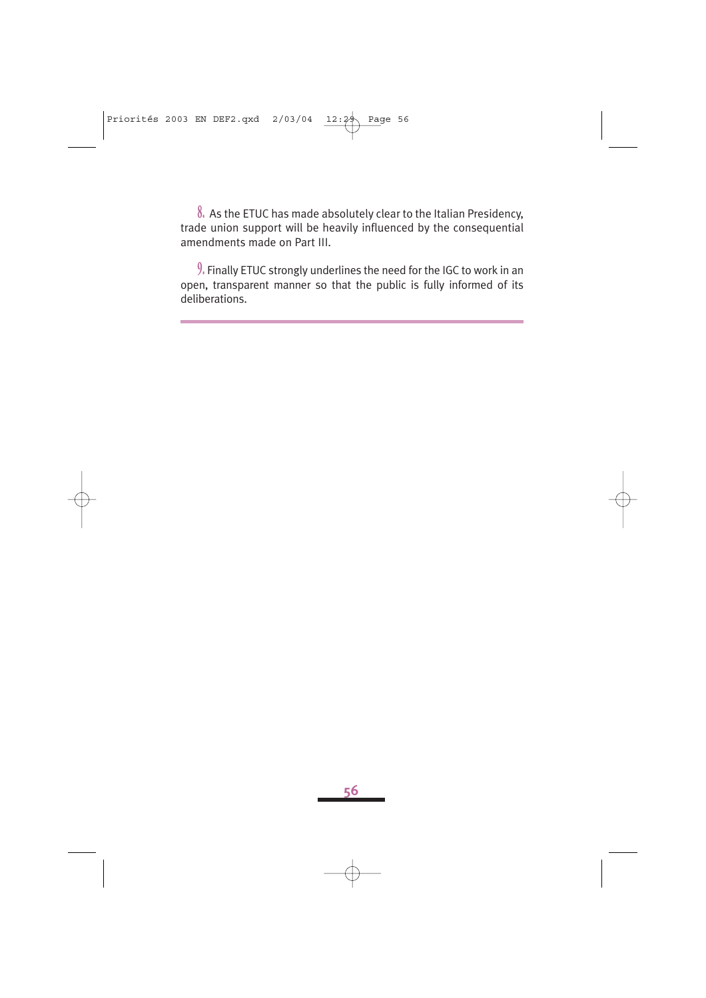**8.** As the ETUC has made absolutely clear to the Italian Presidency, trade union support will be heavily influenced by the consequential amendments made on Part III.

**9.** Finally ETUC strongly underlines the need for the IGC to work in an open, transparent manner so that the public is fully informed of its deliberations.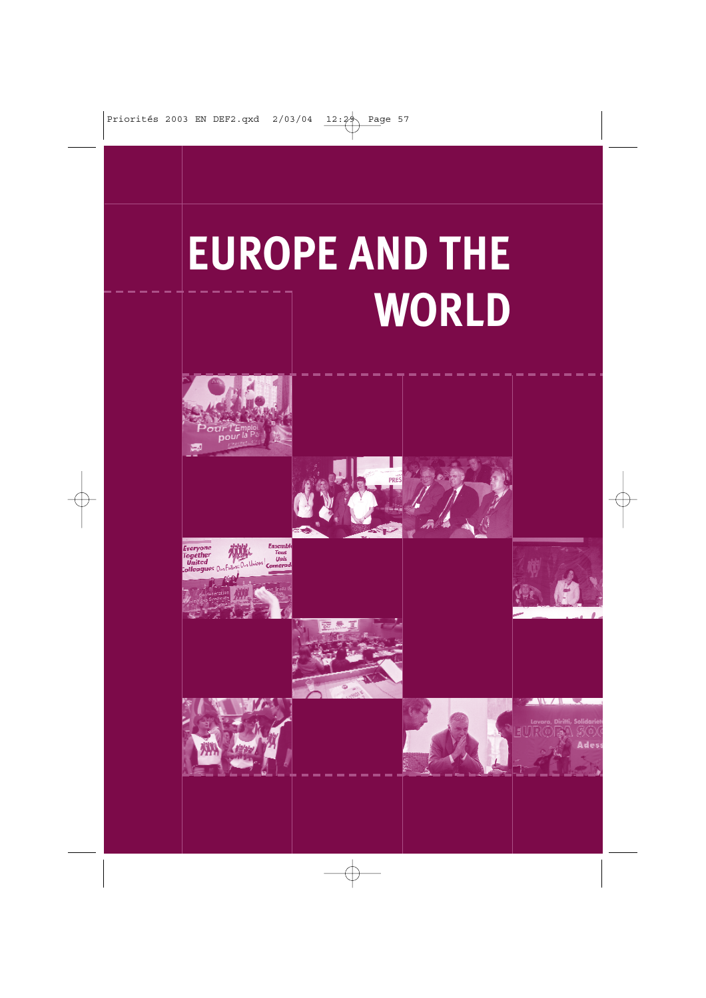## **EUROPE AND THE WORLD**

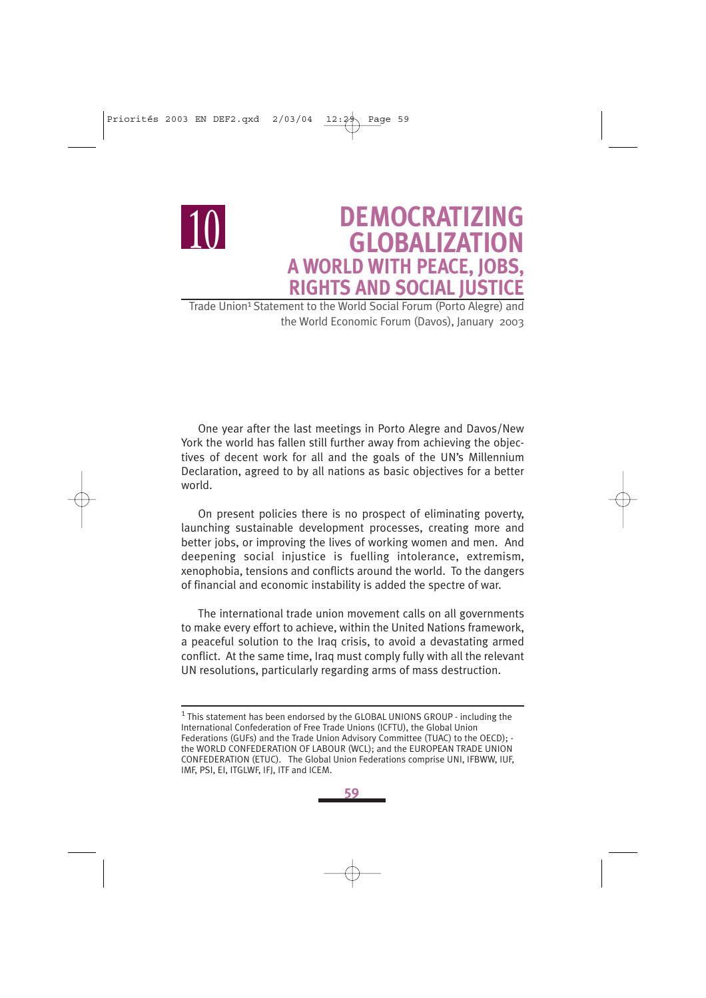

### **DEMOCRATIZING GLOBALIZATION A WORLD WITH PEACE, JOBS, RIGHTS AND SOCIAL JUSTICE**

Trade Union<sup>1</sup> Statement to the World Social Forum (Porto Alegre) and the World Economic Forum (Davos), January 2003

One year after the last meetings in Porto Alegre and Davos/New York the world has fallen still further away from achieving the objectives of decent work for all and the goals of the UN's Millennium Declaration, agreed to by all nations as basic objectives for a better world.

On present policies there is no prospect of eliminating poverty, launching sustainable development processes, creating more and better jobs, or improving the lives of working women and men. And deepening social injustice is fuelling intolerance, extremism, xenophobia, tensions and conflicts around the world. To the dangers of financial and economic instability is added the spectre of war.

The international trade union movement calls on all governments to make every effort to achieve, within the United Nations framework, a peaceful solution to the Iraq crisis, to avoid a devastating armed conflict. At the same time, Iraq must comply fully with all the relevant UN resolutions, particularly regarding arms of mass destruction.

<sup>&</sup>lt;sup>1</sup> This statement has been endorsed by the GLOBAL UNIONS GROUP - including the International Confederation of Free Trade Unions (ICFTU), the Global Union Federations (GUFs) and the Trade Union Advisory Committee (TUAC) to the OECD); the WORLD CONFEDERATION OF LABOUR (WCL); and the EUROPEAN TRADE UNION CONFEDERATION (ETUC). The Global Union Federations comprise UNI, IFBWW, IUF, IMF, PSI, EI, ITGLWF, IFJ, ITF and ICEM.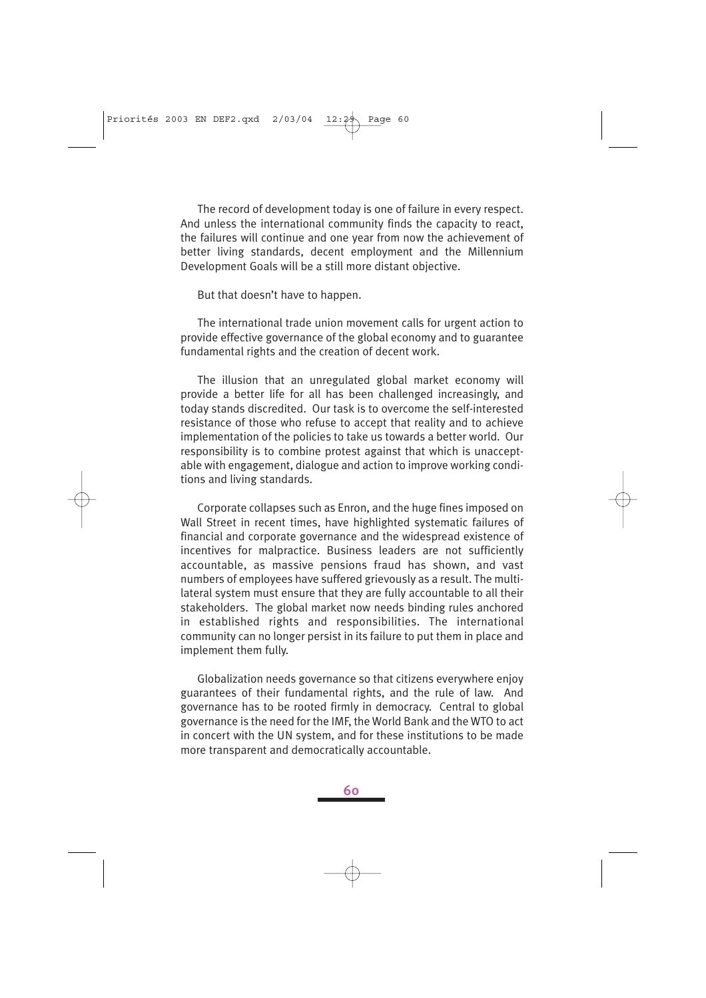The record of development today is one of failure in every respect. And unless the international community finds the capacity to react, the failures will continue and one year from now the achievement of better living standards, decent employment and the Millennium Development Goals will be a still more distant objective.

But that doesn't have to happen.

The international trade union movement calls for urgent action to provide effective governance of the global economy and to guarantee fundamental rights and the creation of decent work.

The illusion that an unregulated global market economy will provide a better life for all has been challenged increasingly, and today stands discredited. Our task is to overcome the self-interested resistance of those who refuse to accept that reality and to achieve implementation of the policies to take us towards a better world. Our responsibility is to combine protest against that which is unacceptable with engagement, dialogue and action to improve working conditions and living standards.

Corporate collapses such as Enron, and the huge fines imposed on Wall Street in recent times, have highlighted systematic failures of financial and corporate governance and the widespread existence of incentives for malpractice. Business leaders are not sufficiently accountable, as massive pensions fraud has shown, and vast numbers of employees have suffered grievously as a result. The multilateral system must ensure that they are fully accountable to all their stakeholders. The global market now needs binding rules anchored in established rights and responsibilities. The international community can no longer persist in its failure to put them in place and implement them fully.

Globalization needs governance so that citizens everywhere enjoy guarantees of their fundamental rights, and the rule of law. And governance has to be rooted firmly in democracy. Central to global governance is the need for the IMF, the World Bank and the WTO to act in concert with the UN system, and for these institutions to be made more transparent and democratically accountable.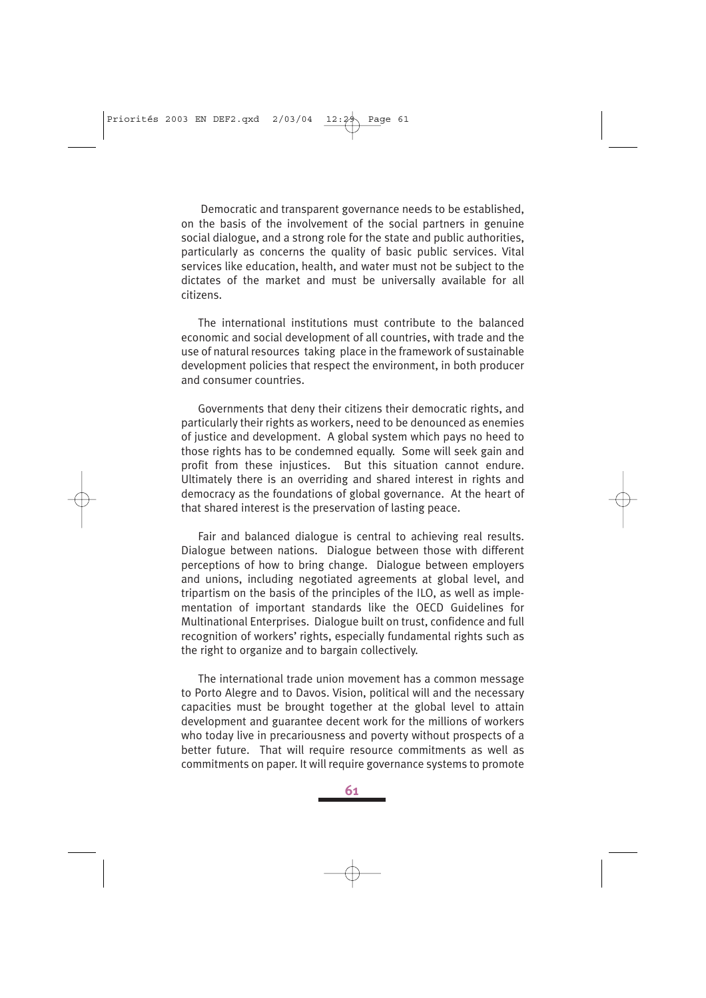Democratic and transparent governance needs to be established, on the basis of the involvement of the social partners in genuine social dialogue, and a strong role for the state and public authorities, particularly as concerns the quality of basic public services. Vital services like education, health, and water must not be subject to the dictates of the market and must be universally available for all citizens.

The international institutions must contribute to the balanced economic and social development of all countries, with trade and the use of natural resources taking place in the framework of sustainable development policies that respect the environment, in both producer and consumer countries.

Governments that deny their citizens their democratic rights, and particularly their rights as workers, need to be denounced as enemies of justice and development. A global system which pays no heed to those rights has to be condemned equally. Some will seek gain and profit from these injustices. But this situation cannot endure. Ultimately there is an overriding and shared interest in rights and democracy as the foundations of global governance. At the heart of that shared interest is the preservation of lasting peace.

Fair and balanced dialogue is central to achieving real results. Dialogue between nations. Dialogue between those with different perceptions of how to bring change. Dialogue between employers and unions, including negotiated agreements at global level, and tripartism on the basis of the principles of the ILO, as well as implementation of important standards like the OECD Guidelines for Multinational Enterprises. Dialogue built on trust, confidence and full recognition of workers' rights, especially fundamental rights such as the right to organize and to bargain collectively.

The international trade union movement has a common message to Porto Alegre and to Davos. Vision, political will and the necessary capacities must be brought together at the global level to attain development and guarantee decent work for the millions of workers who today live in precariousness and poverty without prospects of a better future. That will require resource commitments as well as commitments on paper. It will require governance systems to promote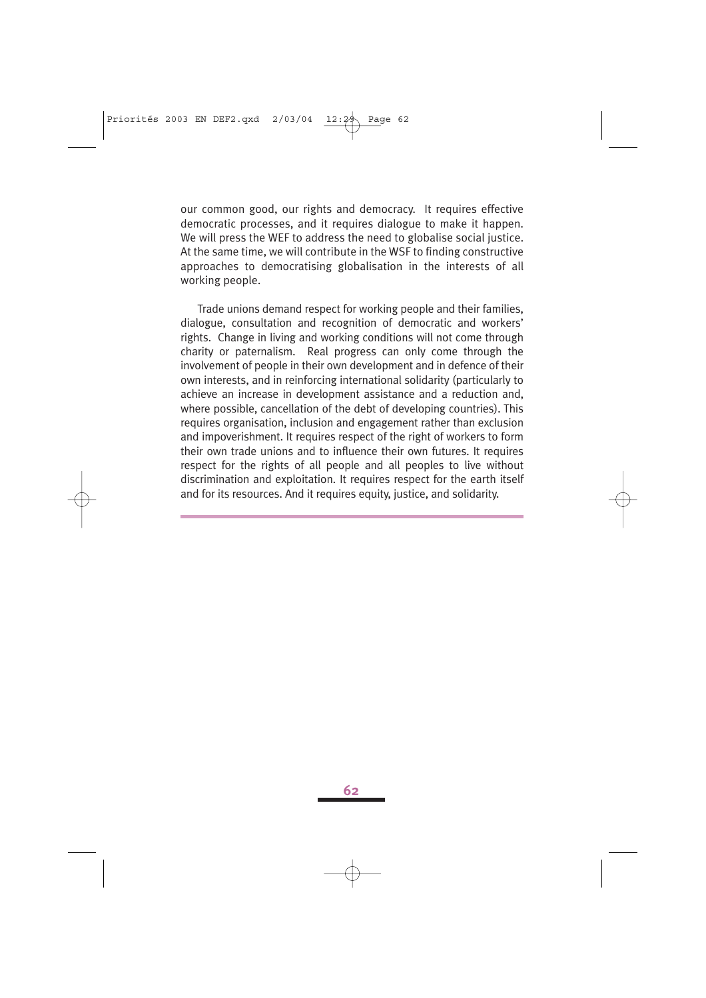our common good, our rights and democracy. It requires effective democratic processes, and it requires dialogue to make it happen. We will press the WEF to address the need to globalise social justice. At the same time, we will contribute in the WSF to finding constructive approaches to democratising globalisation in the interests of all working people.

Trade unions demand respect for working people and their families, dialogue, consultation and recognition of democratic and workers' rights. Change in living and working conditions will not come through charity or paternalism. Real progress can only come through the involvement of people in their own development and in defence of their own interests, and in reinforcing international solidarity (particularly to achieve an increase in development assistance and a reduction and, where possible, cancellation of the debt of developing countries). This requires organisation, inclusion and engagement rather than exclusion and impoverishment. It requires respect of the right of workers to form their own trade unions and to influence their own futures. It requires respect for the rights of all people and all peoples to live without discrimination and exploitation. It requires respect for the earth itself and for its resources. And it requires equity, justice, and solidarity.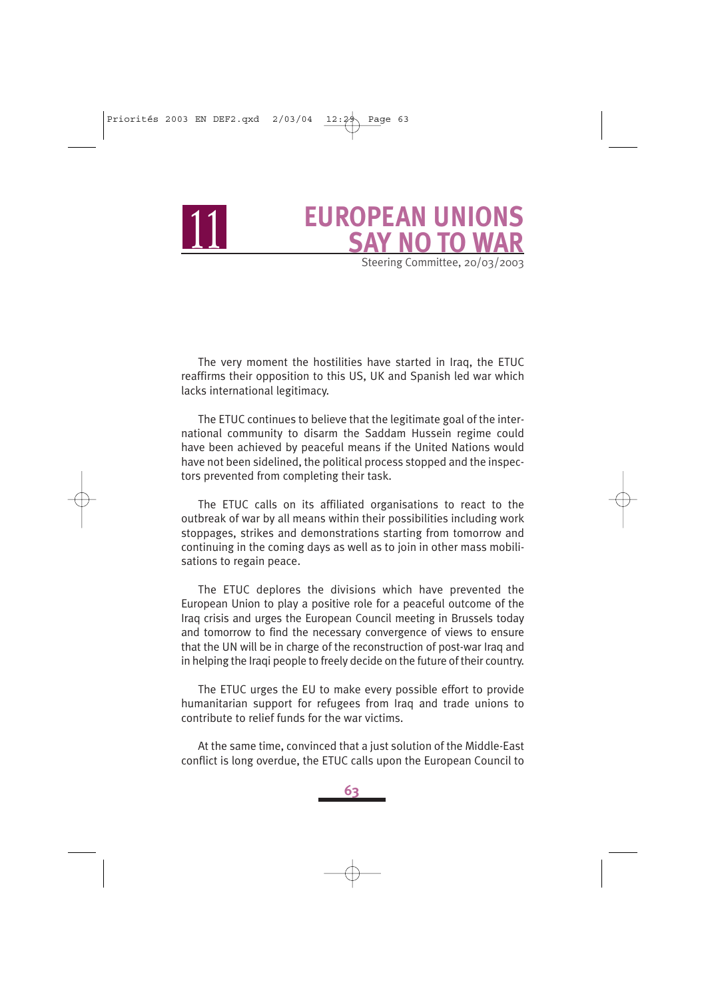<sup>11</sup> **EUROPEAN UNIONS SAY NO TO WAR** Steering Committee, 20/03/2003

The very moment the hostilities have started in Iraq, the ETUC reaffirms their opposition to this US, UK and Spanish led war which lacks international legitimacy.

The ETUC continues to believe that the legitimate goal of the international community to disarm the Saddam Hussein regime could have been achieved by peaceful means if the United Nations would have not been sidelined, the political process stopped and the inspectors prevented from completing their task.

The ETUC calls on its affiliated organisations to react to the outbreak of war by all means within their possibilities including work stoppages, strikes and demonstrations starting from tomorrow and continuing in the coming days as well as to join in other mass mobilisations to regain peace.

The ETUC deplores the divisions which have prevented the European Union to play a positive role for a peaceful outcome of the Iraq crisis and urges the European Council meeting in Brussels today and tomorrow to find the necessary convergence of views to ensure that the UN will be in charge of the reconstruction of post-war Iraq and in helping the Iraqi people to freely decide on the future of their country.

The ETUC urges the EU to make every possible effort to provide humanitarian support for refugees from Iraq and trade unions to contribute to relief funds for the war victims.

At the same time, convinced that a just solution of the Middle-East conflict is long overdue, the ETUC calls upon the European Council to

**63**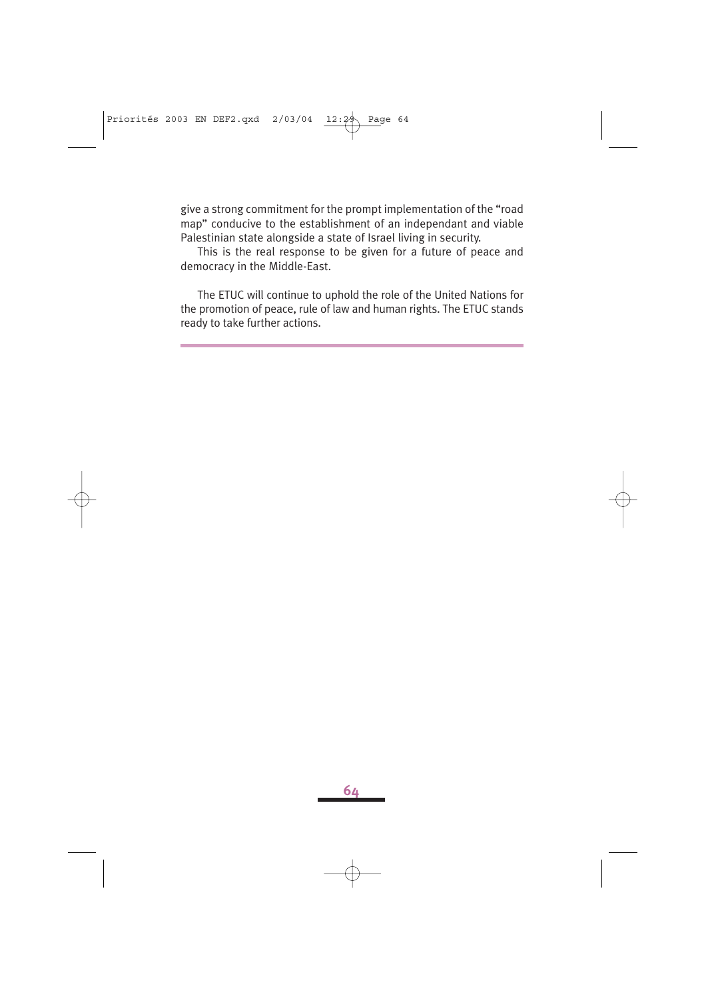give a strong commitment for the prompt implementation of the "road map" conducive to the establishment of an independant and viable Palestinian state alongside a state of Israel living in security.

This is the real response to be given for a future of peace and democracy in the Middle-East.

The ETUC will continue to uphold the role of the United Nations for the promotion of peace, rule of law and human rights. The ETUC stands ready to take further actions.